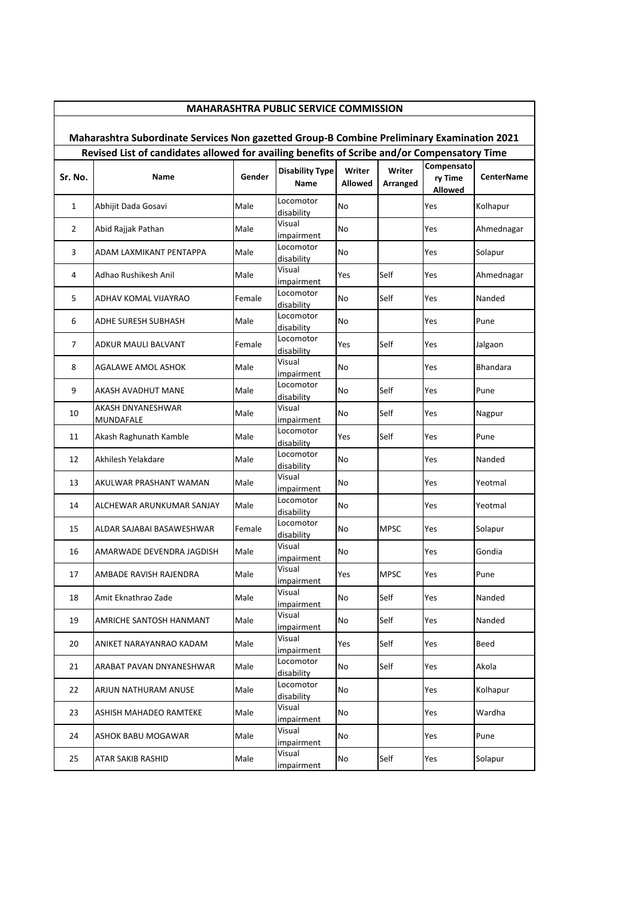|                                                                                            | <b>MAHARASHTRA PUBLIC SERVICE COMMISSION</b>                                                |        |                                |                          |                    |                                         |                   |  |  |  |  |
|--------------------------------------------------------------------------------------------|---------------------------------------------------------------------------------------------|--------|--------------------------------|--------------------------|--------------------|-----------------------------------------|-------------------|--|--|--|--|
| Maharashtra Subordinate Services Non gazetted Group-B Combine Preliminary Examination 2021 |                                                                                             |        |                                |                          |                    |                                         |                   |  |  |  |  |
|                                                                                            | Revised List of candidates allowed for availing benefits of Scribe and/or Compensatory Time |        |                                |                          |                    |                                         |                   |  |  |  |  |
| Sr. No.                                                                                    | Name                                                                                        | Gender | <b>Disability Type</b><br>Name | Writer<br><b>Allowed</b> | Writer<br>Arranged | Compensato<br>ry Time<br><b>Allowed</b> | <b>CenterName</b> |  |  |  |  |
| 1                                                                                          | Abhijit Dada Gosavi                                                                         | Male   | Locomotor<br>disability        | No                       |                    | Yes                                     | Kolhapur          |  |  |  |  |
| $\overline{2}$                                                                             | Abid Rajjak Pathan                                                                          | Male   | Visual<br>impairment           | No                       |                    | Yes                                     | Ahmednagar        |  |  |  |  |
| 3                                                                                          | ADAM LAXMIKANT PENTAPPA                                                                     | Male   | Locomotor<br>disability        | No                       |                    | Yes                                     | Solapur           |  |  |  |  |
| 4                                                                                          | Adhao Rushikesh Anil                                                                        | Male   | Visual<br>impairment           | Yes                      | Self               | Yes                                     | Ahmednagar        |  |  |  |  |
| 5                                                                                          | ADHAV KOMAL VIJAYRAO                                                                        | Female | Locomotor<br>disability        | No                       | Self               | Yes                                     | Nanded            |  |  |  |  |
| 6                                                                                          | ADHE SURESH SUBHASH                                                                         | Male   | Locomotor<br>disability        | No                       |                    | Yes                                     | Pune              |  |  |  |  |
| 7                                                                                          | ADKUR MAULI BALVANT                                                                         | Female | Locomotor<br>disability        | Yes                      | Self               | Yes                                     | Jalgaon           |  |  |  |  |
| 8                                                                                          | AGALAWE AMOL ASHOK                                                                          | Male   | Visual<br>impairment           | No                       |                    | Yes                                     | <b>Bhandara</b>   |  |  |  |  |
| 9                                                                                          | AKASH AVADHUT MANE                                                                          | Male   | Locomotor<br>disability        | No                       | Self               | Yes                                     | Pune              |  |  |  |  |
| 10                                                                                         | AKASH DNYANESHWAR<br>MUNDAFALE                                                              | Male   | Visual<br>impairment           | No                       | Self               | Yes                                     | Nagpur            |  |  |  |  |
| 11                                                                                         | Akash Raghunath Kamble                                                                      | Male   | Locomotor<br>disability        | Yes                      | Self               | Yes                                     | Pune              |  |  |  |  |
| 12                                                                                         | Akhilesh Yelakdare                                                                          | Male   | Locomotor<br>disability        | No                       |                    | Yes                                     | Nanded            |  |  |  |  |
| 13                                                                                         | AKULWAR PRASHANT WAMAN                                                                      | Male   | Visual<br>impairment           | No                       |                    | Yes                                     | Yeotmal           |  |  |  |  |
| 14                                                                                         | ALCHEWAR ARUNKUMAR SANJAY                                                                   | Male   | Locomotor<br>disability        | No                       |                    | Yes                                     | Yeotmal           |  |  |  |  |
| 15                                                                                         | ALDAR SAJABAI BASAWESHWAR                                                                   | Female | Locomotor<br>disability        | No                       | <b>MPSC</b>        | Yes                                     | Solapur           |  |  |  |  |
| 16                                                                                         | AMARWADE DEVENDRA JAGDISH                                                                   | Male   | Visual<br>impairment           | No                       |                    | Yes                                     | Gondia            |  |  |  |  |
| 17                                                                                         | AMBADE RAVISH RAJENDRA                                                                      | Male   | Visual<br>impairment           | Yes                      | <b>MPSC</b>        | Yes                                     | Pune              |  |  |  |  |
| 18                                                                                         | Amit Eknathrao Zade                                                                         | Male   | Visual<br>impairment           | No                       | Self               | Yes                                     | Nanded            |  |  |  |  |
| 19                                                                                         | AMRICHE SANTOSH HANMANT                                                                     | Male   | Visual<br>impairment           | No                       | Self               | Yes                                     | Nanded            |  |  |  |  |
| 20                                                                                         | ANIKET NARAYANRAO KADAM                                                                     | Male   | Visual<br>impairment           | Yes                      | Self               | Yes                                     | Beed              |  |  |  |  |
| 21                                                                                         | ARABAT PAVAN DNYANESHWAR                                                                    | Male   | Locomotor<br>disability        | No                       | Self               | Yes                                     | Akola             |  |  |  |  |
| 22                                                                                         | ARJUN NATHURAM ANUSE                                                                        | Male   | Locomotor<br>disability        | No                       |                    | Yes                                     | Kolhapur          |  |  |  |  |
| 23                                                                                         | ASHISH MAHADEO RAMTEKE                                                                      | Male   | Visual<br>impairment           | No                       |                    | Yes                                     | Wardha            |  |  |  |  |
| 24                                                                                         | ASHOK BABU MOGAWAR                                                                          | Male   | Visual<br>impairment           | No                       |                    | Yes                                     | Pune              |  |  |  |  |
| 25                                                                                         | ATAR SAKIB RASHID                                                                           | Male   | Visual<br>impairment           | No                       | Self               | Yes                                     | Solapur           |  |  |  |  |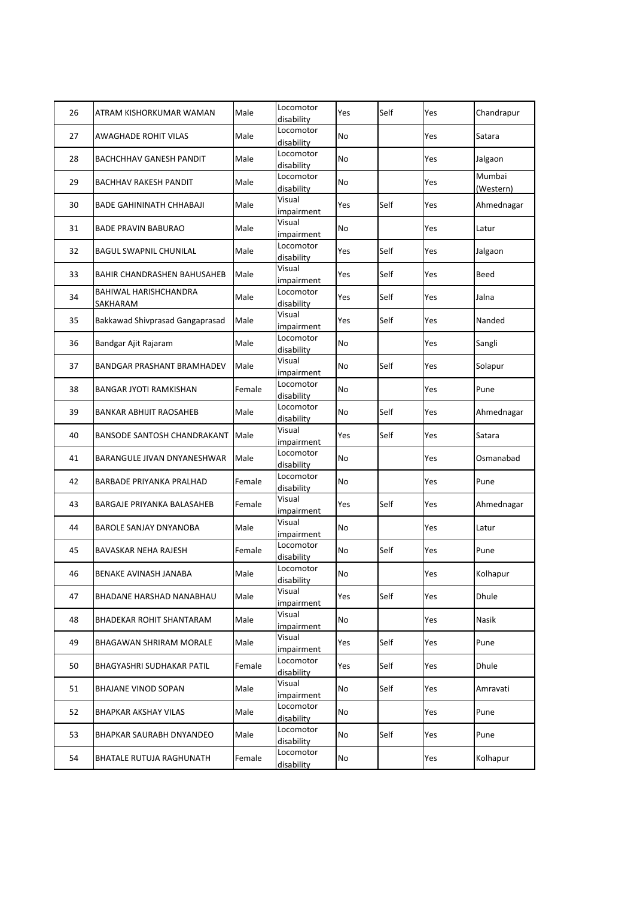| 26 | ATRAM KISHORKUMAR WAMAN            | Male   | Locomotor<br>disability | Yes | Self | Yes | Chandrapur          |
|----|------------------------------------|--------|-------------------------|-----|------|-----|---------------------|
| 27 | AWAGHADE ROHIT VILAS               | Male   | Locomotor<br>disability | No  |      | Yes | Satara              |
| 28 | <b>BACHCHHAV GANESH PANDIT</b>     | Male   | Locomotor<br>disability | No  |      | Yes | Jalgaon             |
| 29 | <b>BACHHAV RAKESH PANDIT</b>       | Male   | Locomotor<br>disability | No  |      | Yes | Mumbai<br>(Western) |
| 30 | <b>BADE GAHININATH CHHABAJI</b>    | Male   | Visual<br>impairment    | Yes | Self | Yes | Ahmednagar          |
| 31 | <b>BADE PRAVIN BABURAO</b>         | Male   | Visual<br>impairment    | No  |      | Yes | Latur               |
| 32 | <b>BAGUL SWAPNIL CHUNILAL</b>      | Male   | Locomotor<br>disability | Yes | Self | Yes | Jalgaon             |
| 33 | BAHIR CHANDRASHEN BAHUSAHEB        | Male   | Visual<br>impairment    | Yes | Self | Yes | Beed                |
| 34 | BAHIWAL HARISHCHANDRA<br>SAKHARAM  | Male   | Locomotor<br>disability | Yes | Self | Yes | Jalna               |
| 35 | Bakkawad Shivprasad Gangaprasad    | Male   | Visual<br>impairment    | Yes | Self | Yes | Nanded              |
| 36 | Bandgar Ajit Rajaram               | Male   | Locomotor<br>disability | No  |      | Yes | Sangli              |
| 37 | <b>BANDGAR PRASHANT BRAMHADEV</b>  | Male   | Visual<br>impairment    | No  | Self | Yes | Solapur             |
| 38 | <b>BANGAR JYOTI RAMKISHAN</b>      | Female | Locomotor<br>disability | No  |      | Yes | Pune                |
| 39 | <b>BANKAR ABHIJIT RAOSAHEB</b>     | Male   | Locomotor<br>disability | No  | Self | Yes | Ahmednagar          |
| 40 | <b>BANSODE SANTOSH CHANDRAKANT</b> | Male   | Visual<br>impairment    | Yes | Self | Yes | Satara              |
| 41 | BARANGULE JIVAN DNYANESHWAR        | Male   | Locomotor<br>disability | No  |      | Yes | Osmanabad           |
| 42 | <b>BARBADE PRIYANKA PRALHAD</b>    | Female | Locomotor<br>disability | No  |      | Yes | Pune                |
| 43 | BARGAJE PRIYANKA BALASAHEB         | Female | Visual<br>impairment    | Yes | Self | Yes | Ahmednagar          |
| 44 | BAROLE SANJAY DNYANOBA             | Male   | Visual<br>impairment    | No  |      | Yes | Latur               |
| 45 | BAVASKAR NEHA RAJESH               | Female | Locomotor<br>disability | No  | Self | Yes | Pune                |
| 46 | BENAKE AVINASH JANABA              | Male   | Locomotor<br>disability | No  |      | Yes | Kolhapur            |
| 47 | BHADANE HARSHAD NANABHAU           | Male   | Visual<br>impairment    | Yes | Self | Yes | Dhule               |
| 48 | BHADEKAR ROHIT SHANTARAM           | Male   | Visual<br>impairment    | No  |      | Yes | Nasik               |
| 49 | BHAGAWAN SHRIRAM MORALE            | Male   | Visual<br>impairment    | Yes | Self | Yes | Pune                |
| 50 | <b>BHAGYASHRI SUDHAKAR PATIL</b>   | Female | Locomotor<br>disability | Yes | Self | Yes | Dhule               |
| 51 | BHAJANE VINOD SOPAN                | Male   | Visual<br>impairment    | No  | Self | Yes | Amravati            |
| 52 | <b>BHAPKAR AKSHAY VILAS</b>        | Male   | Locomotor<br>disability | No  |      | Yes | Pune                |
| 53 | BHAPKAR SAURABH DNYANDEO           | Male   | Locomotor<br>disability | No  | Self | Yes | Pune                |
| 54 | BHATALE RUTUJA RAGHUNATH           | Female | Locomotor<br>disability | No  |      | Yes | Kolhapur            |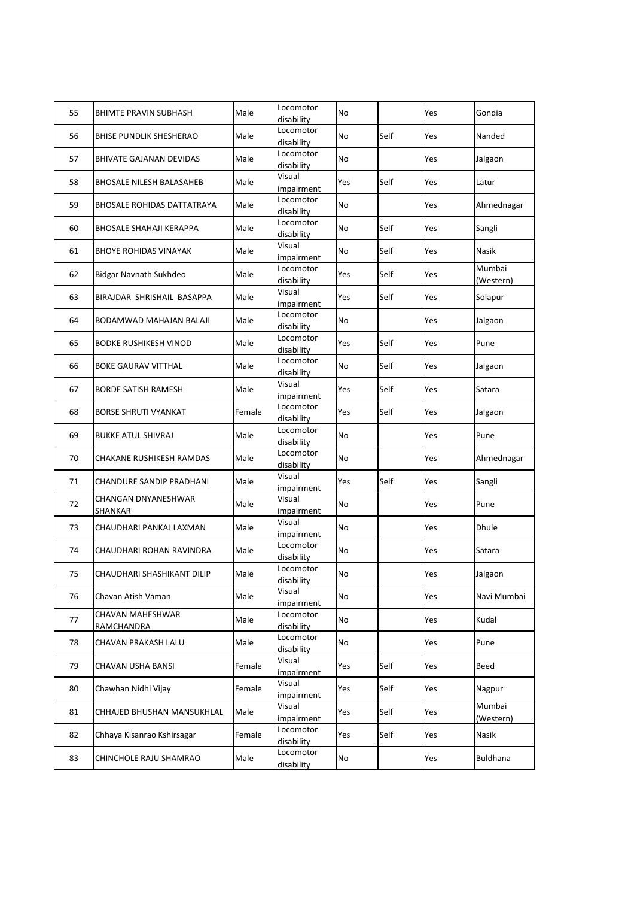| 55 | <b>BHIMTE PRAVIN SUBHASH</b>      | Male   | Locomotor<br>disability | No        |      | Yes | Gondia              |
|----|-----------------------------------|--------|-------------------------|-----------|------|-----|---------------------|
| 56 | <b>BHISE PUNDLIK SHESHERAO</b>    | Male   | Locomotor<br>disability | No        | Self | Yes | Nanded              |
| 57 | <b>BHIVATE GAJANAN DEVIDAS</b>    | Male   | Locomotor<br>disability | No        |      | Yes | Jalgaon             |
| 58 | <b>BHOSALE NILESH BALASAHEB</b>   | Male   | Visual<br>impairment    | Yes       | Self | Yes | Latur               |
| 59 | <b>BHOSALE ROHIDAS DATTATRAYA</b> | Male   | Locomotor<br>disability | <b>No</b> |      | Yes | Ahmednagar          |
| 60 | <b>BHOSALE SHAHAJI KERAPPA</b>    | Male   | Locomotor<br>disability | No        | Self | Yes | Sangli              |
| 61 | <b>BHOYE ROHIDAS VINAYAK</b>      | Male   | Visual<br>impairment    | No        | Self | Yes | Nasik               |
| 62 | Bidgar Navnath Sukhdeo            | Male   | Locomotor<br>disability | Yes       | Self | Yes | Mumbai<br>(Western) |
| 63 | BIRAJDAR SHRISHAIL BASAPPA        | Male   | Visual<br>impairment    | Yes       | Self | Yes | Solapur             |
| 64 | BODAMWAD MAHAJAN BALAJI           | Male   | Locomotor<br>disability | No        |      | Yes | Jalgaon             |
| 65 | <b>BODKE RUSHIKESH VINOD</b>      | Male   | Locomotor<br>disability | Yes       | Self | Yes | Pune                |
| 66 | <b>BOKE GAURAV VITTHAL</b>        | Male   | Locomotor<br>disability | No        | Self | Yes | Jalgaon             |
| 67 | <b>BORDE SATISH RAMESH</b>        | Male   | Visual<br>impairment    | Yes       | Self | Yes | Satara              |
| 68 | <b>BORSE SHRUTI VYANKAT</b>       | Female | Locomotor<br>disability | Yes       | Self | Yes | Jalgaon             |
| 69 | <b>BUKKE ATUL SHIVRAJ</b>         | Male   | Locomotor<br>disability | No        |      | Yes | Pune                |
| 70 | CHAKANE RUSHIKESH RAMDAS          | Male   | Locomotor<br>disability | No        |      | Yes | Ahmednagar          |
| 71 | CHANDURE SANDIP PRADHANI          | Male   | Visual<br>impairment    | Yes       | Self | Yes | Sangli              |
| 72 | CHANGAN DNYANESHWAR<br>SHANKAR    | Male   | Visual<br>impairment    | No        |      | Yes | Pune                |
| 73 | CHAUDHARI PANKAJ LAXMAN           | Male   | Visual<br>impairment    | No        |      | Yes | Dhule               |
| 74 | CHAUDHARI ROHAN RAVINDRA          | Male   | Locomotor<br>disability | No        |      | Yes | Satara              |
| 75 | CHAUDHARI SHASHIKANT DILIP        | Male   | Locomotor<br>disability | No        |      | Yes | Jalgaon             |
| 76 | Chavan Atish Vaman                | Male   | Visual<br>impairment    | No        |      | Yes | Navi Mumbai         |
| 77 | CHAVAN MAHESHWAR<br>RAMCHANDRA    | Male   | Locomotor<br>disability | No        |      | Yes | Kudal               |
| 78 | CHAVAN PRAKASH LALU               | Male   | Locomotor<br>disability | No        |      | Yes | Pune                |
| 79 | CHAVAN USHA BANSI                 | Female | Visual<br>impairment    | Yes       | Self | Yes | Beed                |
| 80 | Chawhan Nidhi Vijay               | Female | Visual<br>impairment    | Yes       | Self | Yes | Nagpur              |
| 81 | CHHAJED BHUSHAN MANSUKHLAL        | Male   | Visual<br>impairment    | Yes       | Self | Yes | Mumbai<br>(Western) |
| 82 | Chhaya Kisanrao Kshirsagar        | Female | Locomotor<br>disability | Yes       | Self | Yes | Nasik               |
| 83 | CHINCHOLE RAJU SHAMRAO            | Male   | Locomotor<br>disability | No        |      | Yes | Buldhana            |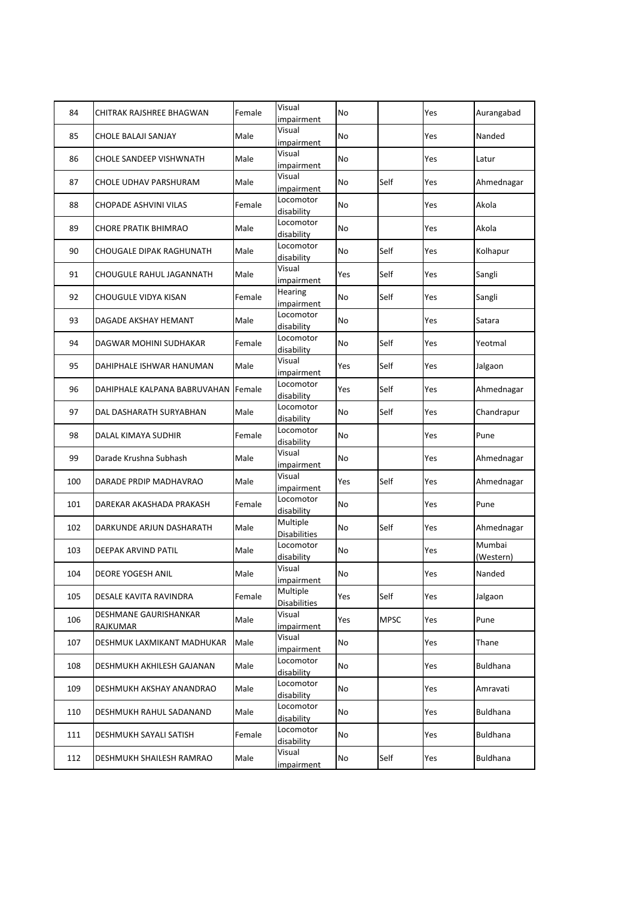| 84  | CHITRAK RAJSHREE BHAGWAN          | Female | Visual<br>impairment            | <b>No</b> |             | Yes | Aurangabad          |
|-----|-----------------------------------|--------|---------------------------------|-----------|-------------|-----|---------------------|
| 85  | CHOLE BALAJI SANJAY               | Male   | Visual<br>impairment            | No        |             | Yes | Nanded              |
| 86  | <b>CHOLE SANDEEP VISHWNATH</b>    | Male   | Visual<br>impairment            | <b>No</b> |             | Yes | Latur               |
| 87  | CHOLE UDHAV PARSHURAM             | Male   | Visual<br>impairment            | No        | Self        | Yes | Ahmednagar          |
| 88  | CHOPADE ASHVINI VILAS             | Female | Locomotor<br>disability         | No        |             | Yes | Akola               |
| 89  | <b>CHORE PRATIK BHIMRAO</b>       | Male   | Locomotor<br>disability         | No        |             | Yes | Akola               |
| 90  | CHOUGALE DIPAK RAGHUNATH          | Male   | Locomotor<br>disability         | No        | Self        | Yes | Kolhapur            |
| 91  | CHOUGULE RAHUL JAGANNATH          | Male   | Visual<br>impairment            | Yes       | Self        | Yes | Sangli              |
| 92  | CHOUGULE VIDYA KISAN              | Female | Hearing<br>impairment           | No        | Self        | Yes | Sangli              |
| 93  | DAGADE AKSHAY HEMANT              | Male   | Locomotor<br>disability         | No        |             | Yes | Satara              |
| 94  | DAGWAR MOHINI SUDHAKAR            | Female | Locomotor<br>disability         | No        | Self        | Yes | Yeotmal             |
| 95  | DAHIPHALE ISHWAR HANUMAN          | Male   | Visual<br>impairment            | Yes       | Self        | Yes | Jalgaon             |
| 96  | DAHIPHALE KALPANA BABRUVAHAN      | Female | Locomotor<br>disability         | Yes       | Self        | Yes | Ahmednagar          |
| 97  | DAL DASHARATH SURYABHAN           | Male   | Locomotor<br>disability         | No        | Self        | Yes | Chandrapur          |
| 98  | DALAL KIMAYA SUDHIR               | Female | Locomotor<br>disability         | No        |             | Yes | Pune                |
| 99  | Darade Krushna Subhash            | Male   | Visual<br>impairment            | No        |             | Yes | Ahmednagar          |
| 100 | DARADE PRDIP MADHAVRAO            | Male   | Visual<br>impairment            | Yes       | Self        | Yes | Ahmednagar          |
| 101 | DAREKAR AKASHADA PRAKASH          | Female | Locomotor<br>disability         | <b>No</b> |             | Yes | Pune                |
| 102 | DARKUNDE ARJUN DASHARATH          | Male   | Multiple<br><b>Disabilities</b> | No        | Self        | Yes | Ahmednagar          |
| 103 | DEEPAK ARVIND PATIL               | Male   | Locomotor<br>disability         | No        |             | Yes | Mumbai<br>(Western) |
| 104 | DEORE YOGESH ANIL                 | Male   | Visual<br>impairment            | No        |             | Yes | Nanded              |
| 105 | DESALE KAVITA RAVINDRA            | Female | Multiple<br><b>Disabilities</b> | Yes       | Self        | Yes | Jalgaon             |
| 106 | DESHMANE GAURISHANKAR<br>RAJKUMAR | Male   | Visual<br>impairment            | Yes       | <b>MPSC</b> | Yes | Pune                |
| 107 | DESHMUK LAXMIKANT MADHUKAR        | Male   | Visual<br>impairment            | No        |             | Yes | Thane               |
| 108 | DESHMUKH AKHILESH GAJANAN         | Male   | Locomotor<br>disability         | No        |             | Yes | Buldhana            |
| 109 | DESHMUKH AKSHAY ANANDRAO          | Male   | Locomotor<br>disability         | No        |             | Yes | Amravati            |
| 110 | DESHMUKH RAHUL SADANAND           | Male   | Locomotor<br>disability         | No        |             | Yes | Buldhana            |
| 111 | DESHMUKH SAYALI SATISH            | Female | Locomotor<br>disability         | No        |             | Yes | Buldhana            |
| 112 | DESHMUKH SHAILESH RAMRAO          | Male   | Visual<br>impairment            | No        | Self        | Yes | Buldhana            |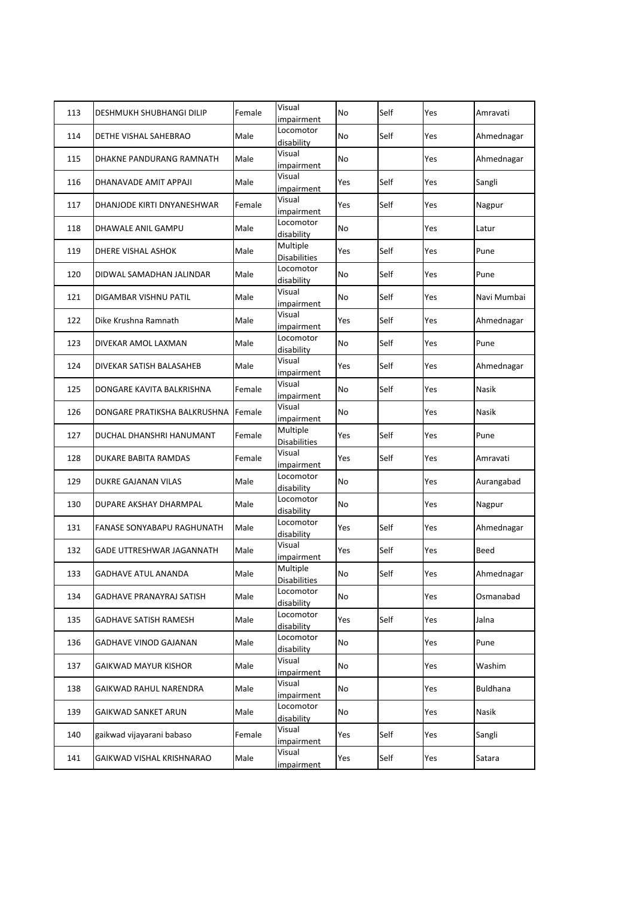| 113 | DESHMUKH SHUBHANGI DILIP         | Female | Visual<br>impairment            | No  | Self | Yes | Amravati    |
|-----|----------------------------------|--------|---------------------------------|-----|------|-----|-------------|
| 114 | DETHE VISHAL SAHEBRAO            | Male   | Locomotor<br>disability         | No  | Self | Yes | Ahmednagar  |
| 115 | DHAKNE PANDURANG RAMNATH         | Male   | Visual<br>impairment            | No  |      | Yes | Ahmednagar  |
| 116 | DHANAVADE AMIT APPAJI            | Male   | Visual<br>impairment            | Yes | Self | Yes | Sangli      |
| 117 | DHANJODE KIRTI DNYANESHWAR       | Female | Visual<br>impairment            | Yes | Self | Yes | Nagpur      |
| 118 | DHAWALE ANIL GAMPU               | Male   | Locomotor<br>disability         | No  |      | Yes | Latur       |
| 119 | DHERE VISHAL ASHOK               | Male   | Multiple<br><b>Disabilities</b> | Yes | Self | Yes | Pune        |
| 120 | DIDWAL SAMADHAN JALINDAR         | Male   | Locomotor<br>disability         | No  | Self | Yes | Pune        |
| 121 | DIGAMBAR VISHNU PATIL            | Male   | Visual<br>impairment            | No  | Self | Yes | Navi Mumbai |
| 122 | Dike Krushna Ramnath             | Male   | Visual<br>impairment            | Yes | Self | Yes | Ahmednagar  |
| 123 | DIVEKAR AMOL LAXMAN              | Male   | Locomotor<br>disability         | No  | Self | Yes | Pune        |
| 124 | DIVEKAR SATISH BALASAHEB         | Male   | Visual<br>impairment            | Yes | Self | Yes | Ahmednagar  |
| 125 | DONGARE KAVITA BALKRISHNA        | Female | Visual<br>impairment            | No  | Self | Yes | Nasik       |
| 126 | DONGARE PRATIKSHA BALKRUSHNA     | Female | Visual<br>impairment            | No  |      | Yes | Nasik       |
| 127 | DUCHAL DHANSHRI HANUMANT         | Female | Multiple<br><b>Disabilities</b> | Yes | Self | Yes | Pune        |
| 128 | <b>DUKARE BABITA RAMDAS</b>      | Female | Visual<br>impairment            | Yes | Self | Yes | Amravati    |
| 129 | DUKRE GAJANAN VILAS              | Male   | Locomotor<br>disability         | No  |      | Yes | Aurangabad  |
| 130 | DUPARE AKSHAY DHARMPAL           | Male   | Locomotor<br>disability         | No  |      | Yes | Nagpur      |
| 131 | FANASE SONYABAPU RAGHUNATH       | Male   | Locomotor<br>disability         | Yes | Self | Yes | Ahmednagar  |
| 132 | <b>GADE UTTRESHWAR JAGANNATH</b> | Male   | Visual<br>impairment            | Yes | Self | Yes | Beed        |
| 133 | <b>GADHAVE ATUL ANANDA</b>       | Male   | Multiple<br><b>Disabilities</b> | No  | Self | Yes | Ahmednagar  |
| 134 | GADHAVE PRANAYRAJ SATISH         | Male   | Locomotor<br>disability         | No  |      | Yes | Osmanabad   |
| 135 | <b>GADHAVE SATISH RAMESH</b>     | Male   | Locomotor<br>disability         | Yes | Self | Yes | Jalna       |
| 136 | GADHAVE VINOD GAJANAN            | Male   | Locomotor<br>disability         | No  |      | Yes | Pune        |
| 137 | <b>GAIKWAD MAYUR KISHOR</b>      | Male   | Visual<br>impairment            | No  |      | Yes | Washim      |
| 138 | GAIKWAD RAHUL NARENDRA           | Male   | Visual<br>impairment            | No  |      | Yes | Buldhana    |
| 139 | GAIKWAD SANKET ARUN              | Male   | Locomotor<br>disability         | No  |      | Yes | Nasik       |
| 140 | gaikwad vijayarani babaso        | Female | Visual<br>impairment            | Yes | Self | Yes | Sangli      |
| 141 | GAIKWAD VISHAL KRISHNARAO        | Male   | Visual<br><i>impairment</i>     | Yes | Self | Yes | Satara      |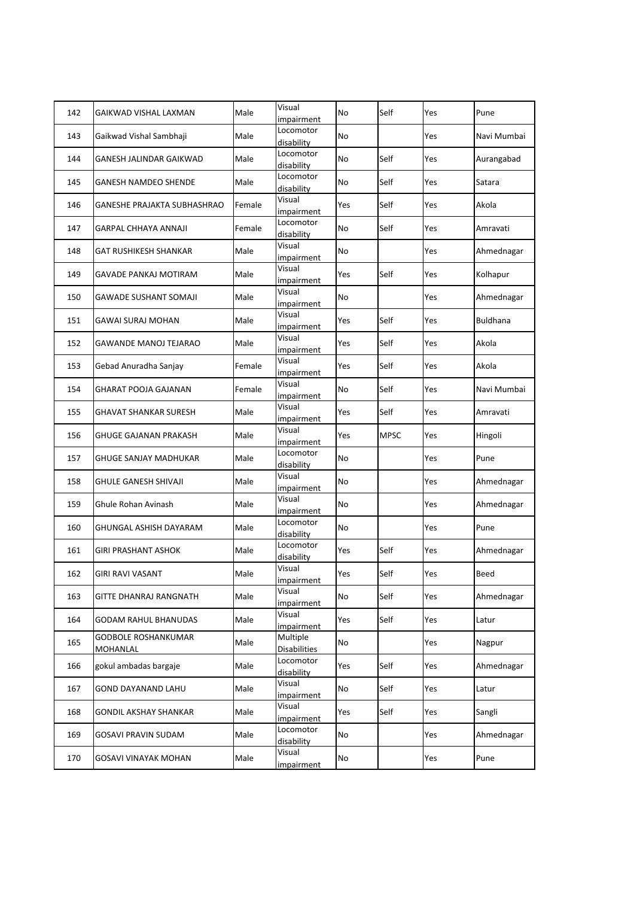| 142 | GAIKWAD VISHAL LAXMAN              | Male   | Visual<br>impairment            | No  | Self        | Yes | Pune            |
|-----|------------------------------------|--------|---------------------------------|-----|-------------|-----|-----------------|
| 143 | Gaikwad Vishal Sambhaji            | Male   | Locomotor<br>disability         | No  |             | Yes | Navi Mumbai     |
| 144 | GANESH JALINDAR GAIKWAD            | Male   | Locomotor<br>disability         | No  | Self        | Yes | Aurangabad      |
| 145 | GANESH NAMDEO SHENDE               | Male   | Locomotor<br>disability         | No  | Self        | Yes | Satara          |
| 146 | <b>GANESHE PRAJAKTA SUBHASHRAO</b> | Female | Visual<br>impairment            | Yes | Self        | Yes | Akola           |
| 147 | GARPAL CHHAYA ANNAJI               | Female | Locomotor<br>disability         | No  | Self        | Yes | Amravati        |
| 148 | <b>GAT RUSHIKESH SHANKAR</b>       | Male   | Visual<br>impairment            | No  |             | Yes | Ahmednagar      |
| 149 | GAVADE PANKAJ MOTIRAM              | Male   | Visual<br>impairment            | Yes | Self        | Yes | Kolhapur        |
| 150 | GAWADE SUSHANT SOMAJI              | Male   | Visual<br>impairment            | No  |             | Yes | Ahmednagar      |
| 151 | <b>GAWAI SURAJ MOHAN</b>           | Male   | Visual<br>impairment            | Yes | Self        | Yes | <b>Buldhana</b> |
| 152 | <b>GAWANDE MANOJ TEJARAO</b>       | Male   | Visual<br>impairment            | Yes | Self        | Yes | Akola           |
| 153 | Gebad Anuradha Sanjay              | Female | Visual<br>impairment            | Yes | Self        | Yes | Akola           |
| 154 | GHARAT POOJA GAJANAN               | Female | Visual<br>impairment            | No  | Self        | Yes | Navi Mumbai     |
| 155 | GHAVAT SHANKAR SURESH              | Male   | Visual<br>impairment            | Yes | Self        | Yes | Amravati        |
| 156 | <b>GHUGE GAJANAN PRAKASH</b>       | Male   | Visual<br>impairment            | Yes | <b>MPSC</b> | Yes | Hingoli         |
| 157 | <b>GHUGE SANJAY MADHUKAR</b>       | Male   | Locomotor<br>disability         | No  |             | Yes | Pune            |
| 158 | <b>GHULE GANESH SHIVAJI</b>        | Male   | Visual<br>impairment            | No  |             | Yes | Ahmednagar      |
| 159 | Ghule Rohan Avinash                | Male   | Visual<br>impairment            | No  |             | Yes | Ahmednagar      |
| 160 | GHUNGAL ASHISH DAYARAM             | Male   | Locomotor<br>disability         | No  |             | Yes | Pune            |
| 161 | <b>GIRI PRASHANT ASHOK</b>         | Male   | Locomotor<br>disability         | Yes | Self        | Yes | Ahmednagar      |
| 162 | <b>GIRI RAVI VASANT</b>            | Male   | Visual<br>impairment            | Yes | Self        | Yes | Beed            |
| 163 | GITTE DHANRAJ RANGNATH             | Male   | Visual<br><i>impairment</i>     | No  | Self        | Yes | Ahmednagar      |
| 164 | <b>GODAM RAHUL BHANUDAS</b>        | Male   | Visual<br>impairment            | Yes | Self        | Yes | Latur           |
| 165 | GODBOLE ROSHANKUMAR<br>MOHANLAL    | Male   | Multiple<br><b>Disabilities</b> | No  |             | Yes | Nagpur          |
| 166 | gokul ambadas bargaje              | Male   | Locomotor<br>disability         | Yes | Self        | Yes | Ahmednagar      |
| 167 | <b>GOND DAYANAND LAHU</b>          | Male   | Visual<br>impairment            | No  | Self        | Yes | Latur           |
| 168 | GONDIL AKSHAY SHANKAR              | Male   | Visual<br>impairment            | Yes | Self        | Yes | Sangli          |
| 169 | GOSAVI PRAVIN SUDAM                | Male   | Locomotor<br>disability         | No  |             | Yes | Ahmednagar      |
| 170 | GOSAVI VINAYAK MOHAN               | Male   | Visual<br>impairment            | No  |             | Yes | Pune            |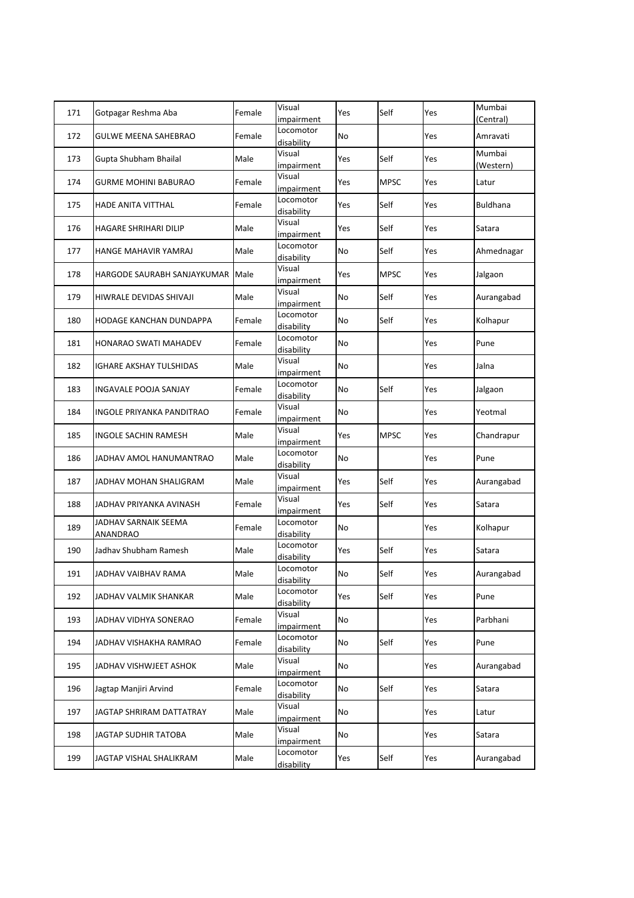| 171 | Gotpagar Reshma Aba              | Female | Visual<br>impairment    | Yes       | Self        | Yes | Mumbai<br>(Central) |
|-----|----------------------------------|--------|-------------------------|-----------|-------------|-----|---------------------|
| 172 | GULWE MEENA SAHEBRAO             | Female | Locomotor<br>disability | No        |             | Yes | Amravati            |
| 173 | Gupta Shubham Bhailal            | Male   | Visual<br>impairment    | Yes       | Self        | Yes | Mumbai<br>(Western) |
| 174 | GURME MOHINI BABURAO             | Female | Visual<br>impairment    | Yes       | <b>MPSC</b> | Yes | Latur               |
| 175 | HADE ANITA VITTHAL               | Female | Locomotor<br>disability | Yes       | Self        | Yes | <b>Buldhana</b>     |
| 176 | HAGARE SHRIHARI DILIP            | Male   | Visual<br>impairment    | Yes       | Self        | Yes | Satara              |
| 177 | HANGE MAHAVIR YAMRAJ             | Male   | Locomotor<br>disability | No        | Self        | Yes | Ahmednagar          |
| 178 | HARGODE SAURABH SANJAYKUMAR      | Male   | Visual<br>impairment    | Yes       | <b>MPSC</b> | Yes | Jalgaon             |
| 179 | HIWRALE DEVIDAS SHIVAJI          | Male   | Visual<br>impairment    | No        | Self        | Yes | Aurangabad          |
| 180 | HODAGE KANCHAN DUNDAPPA          | Female | Locomotor<br>disability | No        | Self        | Yes | Kolhapur            |
| 181 | HONARAO SWATI MAHADEV            | Female | Locomotor<br>disability | No        |             | Yes | Pune                |
| 182 | IGHARE AKSHAY TULSHIDAS          | Male   | Visual<br>impairment    | No        |             | Yes | Jalna               |
| 183 | <b>INGAVALE POOJA SANJAY</b>     | Female | Locomotor<br>disability | <b>No</b> | Self        | Yes | Jalgaon             |
| 184 | INGOLE PRIYANKA PANDITRAO        | Female | Visual<br>impairment    | No        |             | Yes | Yeotmal             |
| 185 | INGOLE SACHIN RAMESH             | Male   | Visual<br>impairment    | Yes       | <b>MPSC</b> | Yes | Chandrapur          |
| 186 | JADHAV AMOL HANUMANTRAO          | Male   | Locomotor<br>disability | No        |             | Yes | Pune                |
| 187 | JADHAV MOHAN SHALIGRAM           | Male   | Visual<br>impairment    | Yes       | Self        | Yes | Aurangabad          |
| 188 | JADHAV PRIYANKA AVINASH          | Female | Visual<br>impairment    | Yes       | Self        | Yes | Satara              |
| 189 | JADHAV SARNAIK SEEMA<br>ANANDRAO | Female | Locomotor<br>disability | No        |             | Yes | Kolhapur            |
| 190 | Jadhav Shubham Ramesh            | Male   | Locomotor<br>disability | Yes       | Self        | Yes | Satara              |
| 191 | JADHAV VAIBHAV RAMA              | Male   | Locomotor<br>disability | No        | Self        | Yes | Aurangabad          |
| 192 | JADHAV VALMIK SHANKAR            | Male   | Locomotor<br>disability | Yes       | Self        | Yes | Pune                |
| 193 | JADHAV VIDHYA SONERAO            | Female | Visual<br>impairment    | No        |             | Yes | Parbhani            |
| 194 | JADHAV VISHAKHA RAMRAO           | Female | Locomotor<br>disability | No        | Self        | Yes | Pune                |
| 195 | JADHAV VISHWJEET ASHOK           | Male   | Visual<br>impairment    | No        |             | Yes | Aurangabad          |
| 196 | Jagtap Manjiri Arvind            | Female | Locomotor<br>disability | No        | Self        | Yes | Satara              |
| 197 | JAGTAP SHRIRAM DATTATRAY         | Male   | Visual<br>impairment    | No        |             | Yes | Latur               |
| 198 | JAGTAP SUDHIR TATOBA             | Male   | Visual<br>impairment    | No        |             | Yes | Satara              |
| 199 | JAGTAP VISHAL SHALIKRAM          | Male   | Locomotor<br>disability | Yes       | Self        | Yes | Aurangabad          |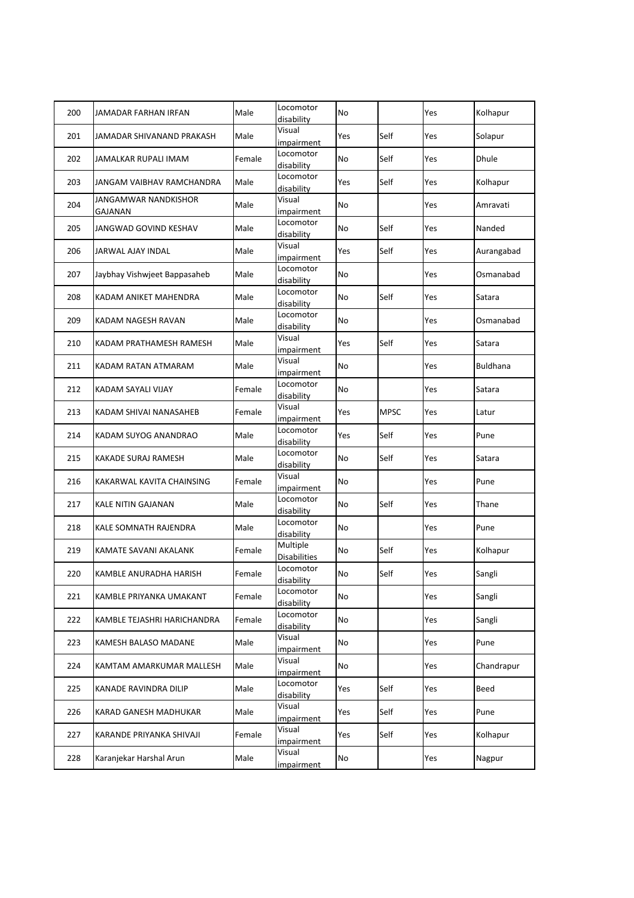| 200 | JAMADAR FARHAN IRFAN            | Male   | Locomotor<br>disability         | No  |             | Yes | Kolhapur   |
|-----|---------------------------------|--------|---------------------------------|-----|-------------|-----|------------|
| 201 | JAMADAR SHIVANAND PRAKASH       | Male   | Visual<br>impairment            | Yes | Self        | Yes | Solapur    |
| 202 | JAMALKAR RUPALI IMAM            | Female | Locomotor<br>disability         | No  | Self        | Yes | Dhule      |
| 203 | JANGAM VAIBHAV RAMCHANDRA       | Male   | Locomotor<br>disability         | Yes | Self        | Yes | Kolhapur   |
| 204 | JANGAMWAR NANDKISHOR<br>GAJANAN | Male   | Visual<br>impairment            | No  |             | Yes | Amravati   |
| 205 | JANGWAD GOVIND KESHAV           | Male   | Locomotor<br>disability         | No  | Self        | Yes | Nanded     |
| 206 | JARWAL AJAY INDAL               | Male   | Visual<br>impairment            | Yes | Self        | Yes | Aurangabad |
| 207 | Jaybhay Vishwjeet Bappasaheb    | Male   | Locomotor<br>disability         | No  |             | Yes | Osmanabad  |
| 208 | KADAM ANIKET MAHENDRA           | Male   | Locomotor<br>disability         | No  | Self        | Yes | Satara     |
| 209 | KADAM NAGESH RAVAN              | Male   | Locomotor<br>disability         | No  |             | Yes | Osmanabad  |
| 210 | KADAM PRATHAMESH RAMESH         | Male   | Visual<br>impairment            | Yes | Self        | Yes | Satara     |
| 211 | KADAM RATAN ATMARAM             | Male   | Visual<br>impairment            | No  |             | Yes | Buldhana   |
| 212 | KADAM SAYALI VIJAY              | Female | Locomotor<br>disability         | No  |             | Yes | Satara     |
| 213 | KADAM SHIVAI NANASAHEB          | Female | Visual<br>impairment            | Yes | <b>MPSC</b> | Yes | Latur      |
| 214 | KADAM SUYOG ANANDRAO            | Male   | Locomotor<br>disability         | Yes | Self        | Yes | Pune       |
| 215 | KAKADE SURAJ RAMESH             | Male   | Locomotor<br>disability         | No  | Self        | Yes | Satara     |
| 216 | KAKARWAL KAVITA CHAINSING       | Female | Visual<br>impairment            | No  |             | Yes | Pune       |
| 217 | KALE NITIN GAJANAN              | Male   | Locomotor<br>disability         | No  | Self        | Yes | Thane      |
| 218 | KALE SOMNATH RAJENDRA           | Male   | Locomotor<br>disability         | No  |             | Yes | Pune       |
| 219 | KAMATE SAVANI AKALANK           | Female | Multiple<br><b>Disabilities</b> | No  | Self        | Yes | Kolhapur   |
| 220 | KAMBLE ANURADHA HARISH          | Female | Locomotor<br>disability         | No  | Self        | Yes | Sangli     |
| 221 | KAMBLE PRIYANKA UMAKANT         | Female | Locomotor<br>disability         | No  |             | Yes | Sangli     |
| 222 | KAMBLE TEJASHRI HARICHANDRA     | Female | Locomotor<br>disability         | No  |             | Yes | Sangli     |
| 223 | KAMESH BALASO MADANE            | Male   | Visual<br>impairment            | No  |             | Yes | Pune       |
| 224 | KAMTAM AMARKUMAR MALLESH        | Male   | Visual<br>impairment            | No  |             | Yes | Chandrapur |
| 225 | KANADE RAVINDRA DILIP           | Male   | Locomotor<br>disability         | Yes | Self        | Yes | Beed       |
| 226 | KARAD GANESH MADHUKAR           | Male   | Visual<br><i>impairment</i>     | Yes | Self        | Yes | Pune       |
| 227 | KARANDE PRIYANKA SHIVAJI        | Female | Visual<br>impairment            | Yes | Self        | Yes | Kolhapur   |
| 228 | Karanjekar Harshal Arun         | Male   | Visual<br>impairment            | No  |             | Yes | Nagpur     |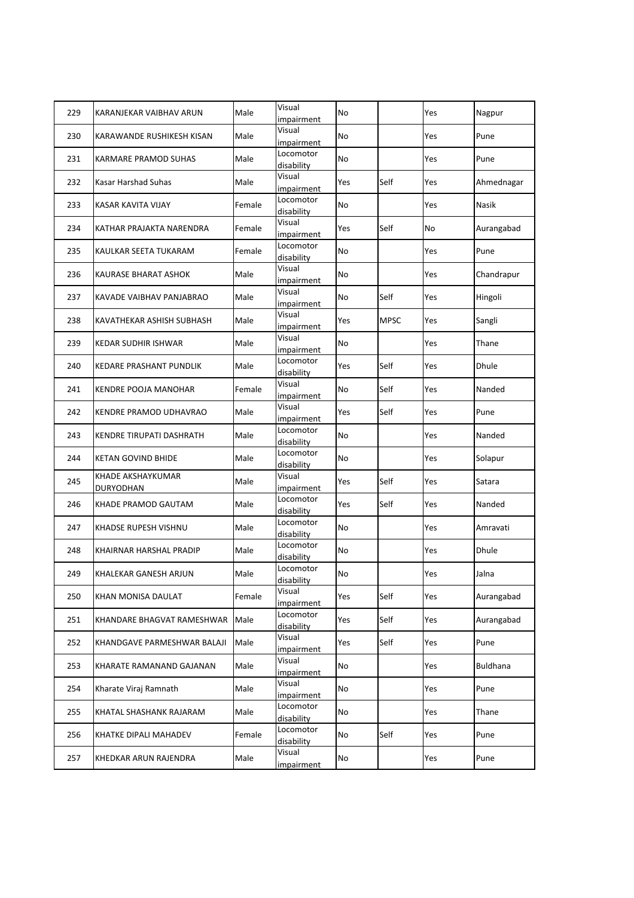| 229 | KARANJEKAR VAIBHAV ARUN        | Male   | Visual<br>impairment    | No        |             | Yes | Nagpur     |
|-----|--------------------------------|--------|-------------------------|-----------|-------------|-----|------------|
| 230 | KARAWANDE RUSHIKESH KISAN      | Male   | Visual<br>impairment    | No        |             | Yes | Pune       |
| 231 | KARMARE PRAMOD SUHAS           | Male   | Locomotor<br>disability | No        |             | Yes | Pune       |
| 232 | Kasar Harshad Suhas            | Male   | Visual<br>impairment    | Yes       | Self        | Yes | Ahmednagar |
| 233 | <b>KASAR KAVITA VIJAY</b>      | Female | Locomotor<br>disability | <b>No</b> |             | Yes | Nasik      |
| 234 | KATHAR PRAJAKTA NARENDRA       | Female | Visual<br>impairment    | Yes       | Self        | No  | Aurangabad |
| 235 | KAULKAR SEETA TUKARAM          | Female | Locomotor<br>disability | No        |             | Yes | Pune       |
| 236 | KAURASE BHARAT ASHOK           | Male   | Visual<br>impairment    | No        |             | Yes | Chandrapur |
| 237 | KAVADE VAIBHAV PANJABRAO       | Male   | Visual<br>impairment    | No        | Self        | Yes | Hingoli    |
| 238 | KAVATHEKAR ASHISH SUBHASH      | Male   | Visual<br>impairment    | Yes       | <b>MPSC</b> | Yes | Sangli     |
| 239 | <b>KEDAR SUDHIR ISHWAR</b>     | Male   | Visual<br>impairment    | No        |             | Yes | Thane      |
| 240 | <b>KEDARE PRASHANT PUNDLIK</b> | Male   | Locomotor<br>disability | Yes       | Self        | Yes | Dhule      |
| 241 | <b>KENDRE POOJA MANOHAR</b>    | Female | Visual<br>impairment    | No        | Self        | Yes | Nanded     |
| 242 | KENDRE PRAMOD UDHAVRAO         | Male   | Visual<br>impairment    | Yes       | Self        | Yes | Pune       |
| 243 | KENDRE TIRUPATI DASHRATH       | Male   | Locomotor<br>disability | No        |             | Yes | Nanded     |
| 244 | <b>KETAN GOVIND BHIDE</b>      | Male   | Locomotor<br>disability | No        |             | Yes | Solapur    |
| 245 | KHADE AKSHAYKUMAR<br>DURYODHAN | Male   | Visual<br>impairment    | Yes       | Self        | Yes | Satara     |
| 246 | KHADE PRAMOD GAUTAM            | Male   | Locomotor<br>disability | Yes       | Self        | Yes | Nanded     |
| 247 | KHADSE RUPESH VISHNU           | Male   | Locomotor<br>disability | No        |             | Yes | Amravati   |
| 248 | KHAIRNAR HARSHAL PRADIP        | Male   | Locomotor<br>disability | No        |             | Yes | Dhule      |
| 249 | KHALEKAR GANESH ARJUN          | Male   | Locomotor<br>disability | No        |             | Yes | Jalna      |
| 250 | KHAN MONISA DAULAT             | Female | Visual<br>impairment    | Yes       | Self        | Yes | Aurangabad |
| 251 | KHANDARE BHAGVAT RAMESHWAR     | Male   | Locomotor<br>disability | Yes       | Self        | Yes | Aurangabad |
| 252 | KHANDGAVE PARMESHWAR BALAJI    | Male   | Visual<br>impairment    | Yes       | Self        | Yes | Pune       |
| 253 | KHARATE RAMANAND GAJANAN       | Male   | Visual<br>impairment    | No        |             | Yes | Buldhana   |
| 254 | Kharate Viraj Ramnath          | Male   | Visual<br>impairment    | No        |             | Yes | Pune       |
| 255 | KHATAL SHASHANK RAJARAM        | Male   | Locomotor<br>disability | No        |             | Yes | Thane      |
| 256 | KHATKE DIPALI MAHADEV          | Female | Locomotor<br>disability | No        | Self        | Yes | Pune       |
| 257 | KHEDKAR ARUN RAJENDRA          | Male   | Visual<br>impairment    | No        |             | Yes | Pune       |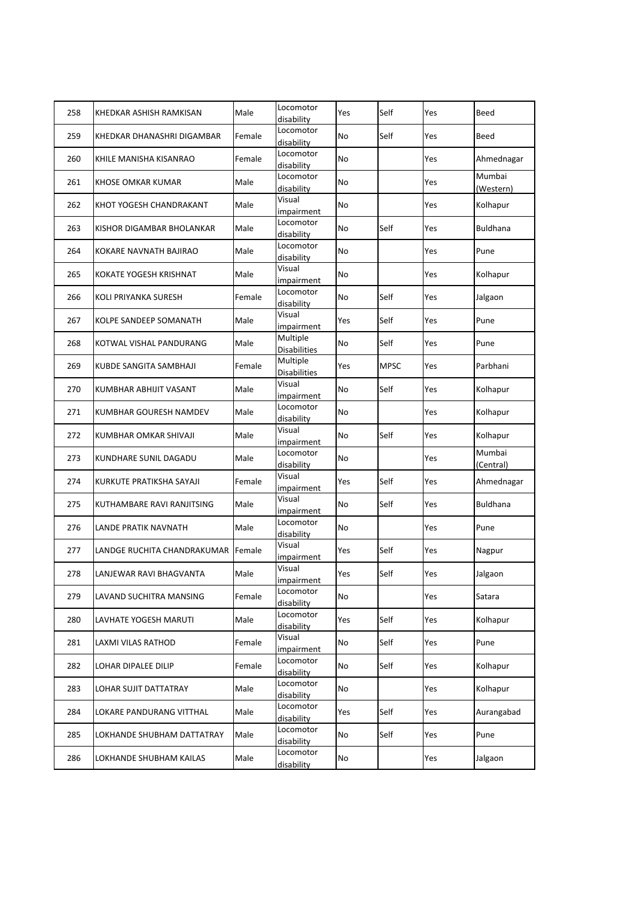| 258 | KHEDKAR ASHISH RAMKISAN     | Male   | Locomotor<br>disability         | Yes | Self        | Yes | Beed                |
|-----|-----------------------------|--------|---------------------------------|-----|-------------|-----|---------------------|
| 259 | KHEDKAR DHANASHRI DIGAMBAR  | Female | Locomotor<br>disability         | No  | Self        | Yes | Beed                |
| 260 | KHILE MANISHA KISANRAO      | Female | Locomotor<br>disability         | No  |             | Yes | Ahmednagar          |
| 261 | KHOSE OMKAR KUMAR           | Male   | Locomotor<br>disability         | No  |             | Yes | Mumbai<br>(Western) |
| 262 | KHOT YOGESH CHANDRAKANT     | Male   | Visual<br>impairment            | No  |             | Yes | Kolhapur            |
| 263 | KISHOR DIGAMBAR BHOLANKAR   | Male   | Locomotor<br>disability         | No  | Self        | Yes | Buldhana            |
| 264 | KOKARE NAVNATH BAJIRAO      | Male   | Locomotor<br>disability         | No  |             | Yes | Pune                |
| 265 | KOKATE YOGESH KRISHNAT      | Male   | Visual<br>impairment            | No  |             | Yes | Kolhapur            |
| 266 | KOLI PRIYANKA SURESH        | Female | Locomotor<br>disability         | No  | Self        | Yes | Jalgaon             |
| 267 | KOLPE SANDEEP SOMANATH      | Male   | Visual<br>impairment            | Yes | Self        | Yes | Pune                |
| 268 | KOTWAL VISHAL PANDURANG     | Male   | Multiple<br><b>Disabilities</b> | No  | Self        | Yes | Pune                |
| 269 | KUBDE SANGITA SAMBHAJI      | Female | Multiple<br><b>Disabilities</b> | Yes | <b>MPSC</b> | Yes | Parbhani            |
| 270 | KUMBHAR ABHIJIT VASANT      | Male   | Visual<br>impairment            | No  | Self        | Yes | Kolhapur            |
| 271 | KUMBHAR GOURESH NAMDEV      | Male   | Locomotor<br>disability         | No  |             | Yes | Kolhapur            |
| 272 | KUMBHAR OMKAR SHIVAJI       | Male   | Visual<br>impairment            | No  | Self        | Yes | Kolhapur            |
| 273 | KUNDHARE SUNIL DAGADU       | Male   | Locomotor<br>disability         | No  |             | Yes | Mumbai<br>(Central) |
| 274 | KURKUTE PRATIKSHA SAYAJI    | Female | Visual<br>impairment            | Yes | Self        | Yes | Ahmednagar          |
| 275 | KUTHAMBARE RAVI RANJITSING  | Male   | Visual<br>impairment            | No  | Self        | Yes | Buldhana            |
| 276 | LANDE PRATIK NAVNATH        | Male   | Locomotor<br>disability         | No  |             | Yes | Pune                |
| 277 | LANDGE RUCHITA CHANDRAKUMAR | Female | Visual<br>impairment            | Yes | Self        | Yes | Nagpur              |
| 278 | LANJEWAR RAVI BHAGVANTA     | Male   | Visual<br>impairment            | Yes | Self        | Yes | Jalgaon             |
| 279 | LAVAND SUCHITRA MANSING     | Female | Locomotor<br>disability         | No  |             | Yes | Satara              |
| 280 | LAVHATE YOGESH MARUTI       | Male   | Locomotor<br>disability         | Yes | Self        | Yes | Kolhapur            |
| 281 | LAXMI VILAS RATHOD          | Female | Visual<br>impairment            | No  | Self        | Yes | Pune                |
| 282 | LOHAR DIPALEE DILIP         | Female | Locomotor<br>disability         | No  | Self        | Yes | Kolhapur            |
| 283 | LOHAR SUJIT DATTATRAY       | Male   | Locomotor<br>disability         | No  |             | Yes | Kolhapur            |
| 284 | LOKARE PANDURANG VITTHAL    | Male   | Locomotor<br>disability         | Yes | Self        | Yes | Aurangabad          |
| 285 | LOKHANDE SHUBHAM DATTATRAY  | Male   | Locomotor<br>disability         | No  | Self        | Yes | Pune                |
| 286 | LOKHANDE SHUBHAM KAILAS     | Male   | Locomotor<br>disability         | No  |             | Yes | Jalgaon             |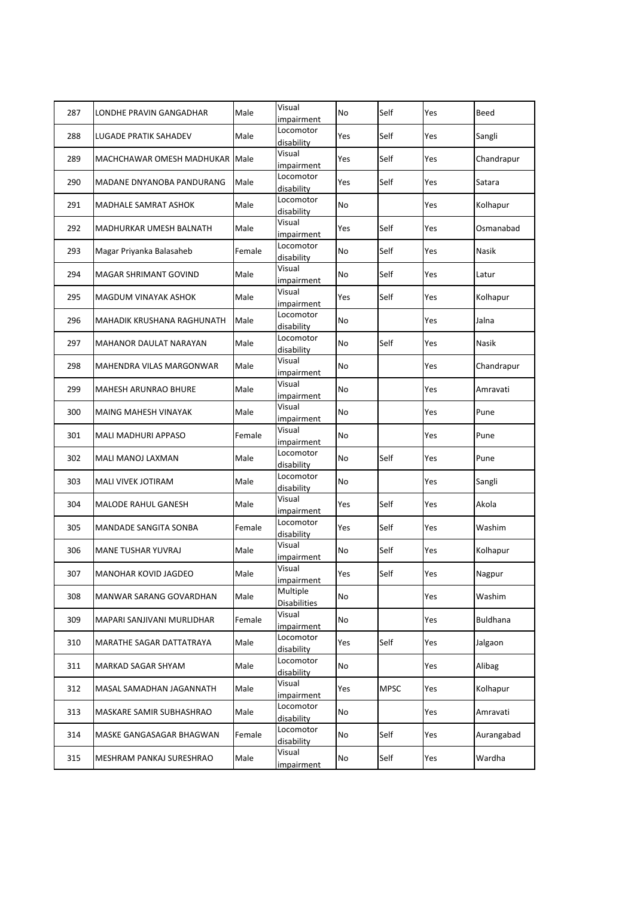| 287 | LONDHE PRAVIN GANGADHAR         | Male   | Visual<br>impairment            | No  | Self        | Yes | Beed       |
|-----|---------------------------------|--------|---------------------------------|-----|-------------|-----|------------|
| 288 | <b>LUGADE PRATIK SAHADEV</b>    | Male   | Locomotor<br>disability         | Yes | Self        | Yes | Sangli     |
| 289 | MACHCHAWAR OMESH MADHUKAR       | Male   | Visual<br>impairment            | Yes | Self        | Yes | Chandrapur |
| 290 | MADANE DNYANOBA PANDURANG       | Male   | Locomotor<br>disability         | Yes | Self        | Yes | Satara     |
| 291 | <b>MADHALE SAMRAT ASHOK</b>     | Male   | Locomotor<br>disability         | No  |             | Yes | Kolhapur   |
| 292 | <b>MADHURKAR UMESH BALNATH</b>  | Male   | Visual<br>impairment            | Yes | Self        | Yes | Osmanabad  |
| 293 | Magar Priyanka Balasaheb        | Female | Locomotor<br>disability         | No  | Self        | Yes | Nasik      |
| 294 | MAGAR SHRIMANT GOVIND           | Male   | Visual<br>impairment            | No  | Self        | Yes | Latur      |
| 295 | MAGDUM VINAYAK ASHOK            | Male   | Visual<br>impairment            | Yes | Self        | Yes | Kolhapur   |
| 296 | MAHADIK KRUSHANA RAGHUNATH      | Male   | Locomotor<br>disability         | No  |             | Yes | Jalna      |
| 297 | MAHANOR DAULAT NARAYAN          | Male   | Locomotor<br>disability         | No  | Self        | Yes | Nasik      |
| 298 | MAHENDRA VILAS MARGONWAR        | Male   | Visual<br>impairment            | No  |             | Yes | Chandrapur |
| 299 | <b>MAHESH ARUNRAO BHURE</b>     | Male   | Visual<br>impairment            | No  |             | Yes | Amravati   |
| 300 | <b>MAING MAHESH VINAYAK</b>     | Male   | Visual<br>impairment            | No  |             | Yes | Pune       |
| 301 | MALI MADHURI APPASO             | Female | Visual<br>impairment            | No  |             | Yes | Pune       |
| 302 | MALI MANOJ LAXMAN               | Male   | Locomotor<br>disability         | No  | Self        | Yes | Pune       |
| 303 | <b>MALI VIVEK JOTIRAM</b>       | Male   | Locomotor<br>disability         | No  |             | Yes | Sangli     |
| 304 | MALODE RAHUL GANESH             | Male   | Visual<br>impairment            | Yes | Self        | Yes | Akola      |
| 305 | <b>MANDADE SANGITA SONBA</b>    | Female | Locomotor<br>disability         | Yes | Self        | Yes | Washim     |
| 306 | MANE TUSHAR YUVRAJ              | Male   | Visual<br>impairment            | No  | Self        | Yes | Kolhapur   |
| 307 | MANOHAR KOVID JAGDEO            | Male   | Visual<br>impairment            | Yes | Self        | Yes | Nagpur     |
| 308 | MANWAR SARANG GOVARDHAN         | Male   | Multiple<br><b>Disabilities</b> | No  |             | Yes | Washim     |
| 309 | MAPARI SANJIVANI MURLIDHAR      | Female | Visual<br>impairment            | No  |             | Yes | Buldhana   |
| 310 | <b>MARATHE SAGAR DATTATRAYA</b> | Male   | Locomotor<br>disability         | Yes | Self        | Yes | Jalgaon    |
| 311 | MARKAD SAGAR SHYAM              | Male   | Locomotor<br>disability         | No  |             | Yes | Alibag     |
| 312 | MASAL SAMADHAN JAGANNATH        | Male   | Visual<br>impairment            | Yes | <b>MPSC</b> | Yes | Kolhapur   |
| 313 | MASKARE SAMIR SUBHASHRAO        | Male   | Locomotor<br>disability         | No  |             | Yes | Amravati   |
| 314 | MASKE GANGASAGAR BHAGWAN        | Female | Locomotor<br>disability         | No  | Self        | Yes | Aurangabad |
| 315 | MESHRAM PANKAJ SURESHRAO        | Male   | Visual<br>impairment            | No  | Self        | Yes | Wardha     |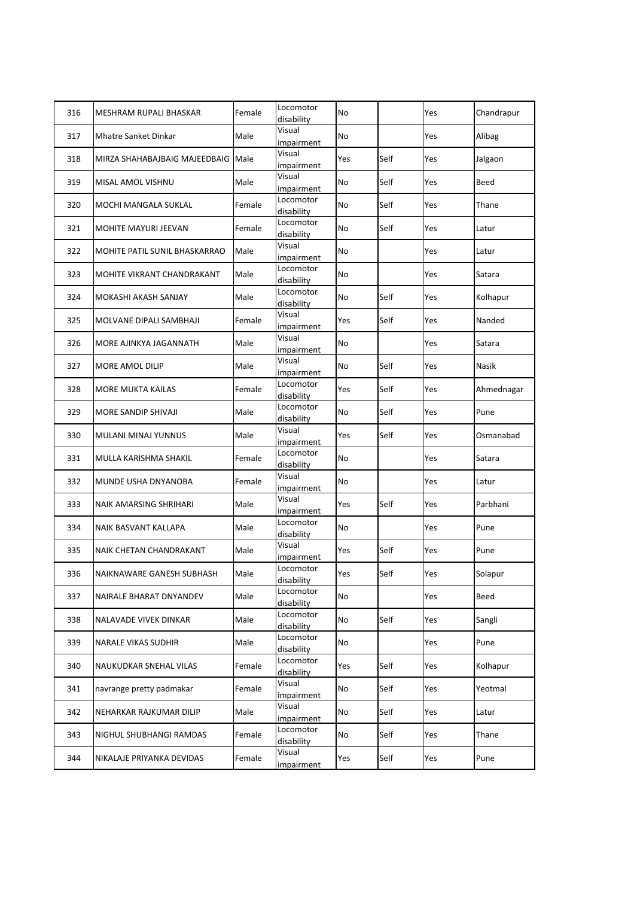| 316 | MESHRAM RUPALI BHASKAR        | Female | Locomotor<br>disability     | No  |      | Yes | Chandrapur   |
|-----|-------------------------------|--------|-----------------------------|-----|------|-----|--------------|
| 317 | <b>Mhatre Sanket Dinkar</b>   | Male   | Visual<br><i>impairment</i> | No  |      | Yes | Alibag       |
| 318 | MIRZA SHAHABAJBAIG MAJEEDBAIG | Male   | Visual<br>impairment        | Yes | Self | Yes | Jalgaon      |
| 319 | MISAL AMOL VISHNU             | Male   | Visual<br>impairment        | No  | Self | Yes | Beed         |
| 320 | <b>MOCHI MANGALA SUKLAL</b>   | Female | Locomotor<br>disability     | No  | Self | Yes | Thane        |
| 321 | <b>MOHITE MAYURI JEEVAN</b>   | Female | Locomotor<br>disability     | No  | Self | Yes | Latur        |
| 322 | MOHITE PATIL SUNIL BHASKARRAO | Male   | Visual<br>impairment        | No  |      | Yes | Latur        |
| 323 | MOHITE VIKRANT CHANDRAKANT    | Male   | Locomotor<br>disability     | No  |      | Yes | Satara       |
| 324 | MOKASHI AKASH SANJAY          | Male   | Locomotor<br>disability     | No  | Self | Yes | Kolhapur     |
| 325 | MOLVANE DIPALI SAMBHAJI       | Female | Visual<br>impairment        | Yes | Self | Yes | Nanded       |
| 326 | MORE AJINKYA JAGANNATH        | Male   | Visual<br>impairment        | No  |      | Yes | Satara       |
| 327 | MORE AMOL DILIP               | Male   | Visual<br>impairment        | No  | Self | Yes | <b>Nasik</b> |
| 328 | <b>MORE MUKTA KAILAS</b>      | Female | Locomotor<br>disability     | Yes | Self | Yes | Ahmednagar   |
| 329 | MORE SANDIP SHIVAJI           | Male   | Locomotor<br>disability     | No  | Self | Yes | Pune         |
| 330 | MULANI MINAJ YUNNUS           | Male   | Visual<br>impairment        | Yes | Self | Yes | Osmanabad    |
| 331 | MULLA KARISHMA SHAKIL         | Female | Locomotor<br>disability     | No  |      | Yes | Satara       |
| 332 | MUNDE USHA DNYANOBA           | Female | Visual<br>impairment        | No  |      | Yes | Latur        |
| 333 | NAIK AMARSING SHRIHARI        | Male   | Visual<br>impairment        | Yes | Self | Yes | Parbhani     |
| 334 | NAIK BASVANT KALLAPA          | Male   | Locomotor<br>disability     | No  |      | Yes | Pune         |
| 335 | NAIK CHETAN CHANDRAKANT       | Male   | Visual<br>impairment        | Yes | Self | Yes | Pune         |
| 336 | NAIKNAWARE GANESH SUBHASH     | Male   | Locomotor<br>disability     | Yes | Self | Yes | Solapur      |
| 337 | NAIRALE BHARAT DNYANDEV       | Male   | Locomotor<br>disability     | No  |      | Yes | Beed         |
| 338 | NALAVADE VIVEK DINKAR         | Male   | Locomotor<br>disability     | No  | Self | Yes | Sangli       |
| 339 | NARALE VIKAS SUDHIR           | Male   | Locomotor<br>disability     | No  |      | Yes | Pune         |
| 340 | NAUKUDKAR SNEHAL VILAS        | Female | Locomotor<br>disability     | Yes | Self | Yes | Kolhapur     |
| 341 | navrange pretty padmakar      | Female | Visual<br>impairment        | No  | Self | Yes | Yeotmal      |
| 342 | NEHARKAR RAJKUMAR DILIP       | Male   | Visual<br>impairment        | No  | Self | Yes | Latur        |
| 343 | NIGHUL SHUBHANGI RAMDAS       | Female | Locomotor<br>disability     | No  | Self | Yes | Thane        |
| 344 | NIKALAJE PRIYANKA DEVIDAS     | Female | Visual<br><i>impairment</i> | Yes | Self | Yes | Pune         |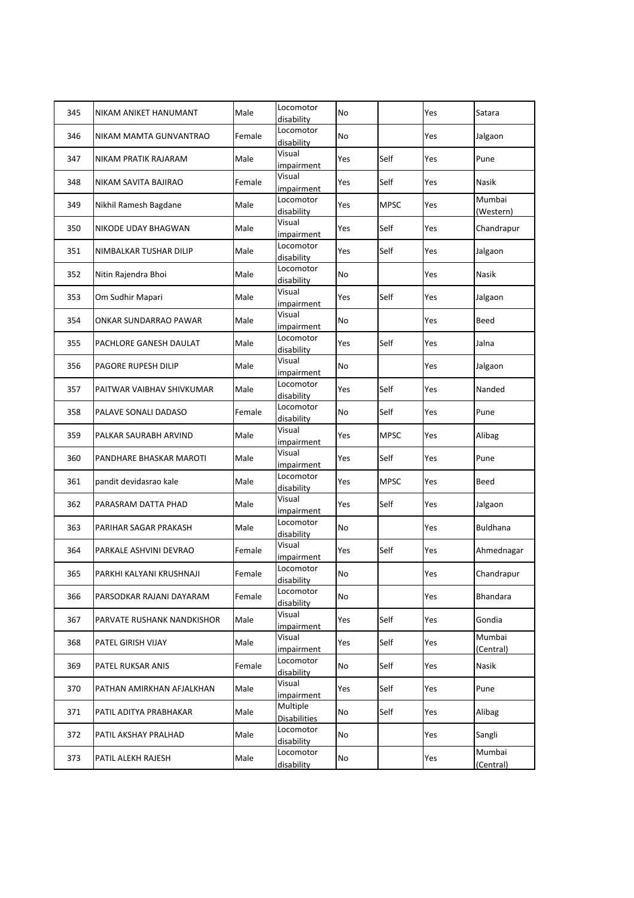| 345 | NIKAM ANIKET HANUMANT      | Male   | Locomotor<br>disability         | No  |             | Yes | Satara              |
|-----|----------------------------|--------|---------------------------------|-----|-------------|-----|---------------------|
| 346 | NIKAM MAMTA GUNVANTRAO     | Female | Locomotor<br>disability         | No  |             | Yes | Jalgaon             |
| 347 | NIKAM PRATIK RAJARAM       | Male   | Visual<br>impairment            | Yes | Self        | Yes | Pune                |
| 348 | NIKAM SAVITA BAJIRAO       | Female | Visual<br>impairment            | Yes | Self        | Yes | Nasik               |
| 349 | Nikhil Ramesh Bagdane      | Male   | Locomotor<br>disability         | Yes | <b>MPSC</b> | Yes | Mumbai<br>(Western) |
| 350 | NIKODE UDAY BHAGWAN        | Male   | Visual<br>impairment            | Yes | Self        | Yes | Chandrapur          |
| 351 | NIMBALKAR TUSHAR DILIP     | Male   | Locomotor<br>disability         | Yes | Self        | Yes | Jalgaon             |
| 352 | Nitin Rajendra Bhoi        | Male   | Locomotor<br>disability         | No  |             | Yes | Nasik               |
| 353 | Om Sudhir Mapari           | Male   | Visual<br>impairment            | Yes | Self        | Yes | Jalgaon             |
| 354 | ONKAR SUNDARRAO PAWAR      | Male   | Visual<br>impairment            | No  |             | Yes | Beed                |
| 355 | PACHLORE GANESH DAULAT     | Male   | Locomotor<br>disability         | Yes | Self        | Yes | Jalna               |
| 356 | PAGORE RUPESH DILIP        | Male   | Visual<br>impairment            | No  |             | Yes | Jalgaon             |
| 357 | PAITWAR VAIBHAV SHIVKUMAR  | Male   | Locomotor<br>disability         | Yes | Self        | Yes | Nanded              |
| 358 | PALAVE SONALI DADASO       | Female | Locomotor<br>disability         | No  | Self        | Yes | Pune                |
| 359 | PALKAR SAURABH ARVIND      | Male   | Visual<br>impairment            | Yes | <b>MPSC</b> | Yes | Alibag              |
| 360 | PANDHARE BHASKAR MAROTI    | Male   | Visual<br>impairment            | Yes | Self        | Yes | Pune                |
| 361 | pandit devidasrao kale     | Male   | Locomotor<br>disability         | Yes | <b>MPSC</b> | Yes | Beed                |
| 362 | PARASRAM DATTA PHAD        | Male   | Visual<br>impairment            | Yes | Self        | Yes | Jalgaon             |
| 363 | PARIHAR SAGAR PRAKASH      | Male   | Locomotor<br>disability         | No  |             | Yes | Buldhana            |
| 364 | PARKALE ASHVINI DEVRAO     | Female | Visual<br>impairment            | Yes | Self        | Yes | Ahmednagar          |
| 365 | PARKHI KALYANI KRUSHNAJI   | Female | Locomotor<br>disability         | No  |             | Yes | Chandrapur          |
| 366 | PARSODKAR RAJANI DAYARAM   | Female | Locomotor<br>disability         | No  |             | Yes | Bhandara            |
| 367 | PARVATE RUSHANK NANDKISHOR | Male   | Visual<br>impairment            | Yes | Self        | Yes | Gondia              |
| 368 | PATEL GIRISH VIJAY         | Male   | Visual<br>impairment            | Yes | Self        | Yes | Mumbai<br>(Central) |
| 369 | PATEL RUKSAR ANIS          | Female | Locomotor<br>disability         | No  | Self        | Yes | Nasik               |
| 370 | PATHAN AMIRKHAN AFJALKHAN  | Male   | Visual<br>impairment            | Yes | Self        | Yes | Pune                |
| 371 | PATIL ADITYA PRABHAKAR     | Male   | Multiple<br><b>Disabilities</b> | No  | Self        | Yes | Alibag              |
| 372 | PATIL AKSHAY PRALHAD       | Male   | Locomotor<br>disability         | No  |             | Yes | Sangli              |
| 373 | PATIL ALEKH RAJESH         | Male   | Locomotor<br>disability         | No  |             | Yes | Mumbai<br>(Central) |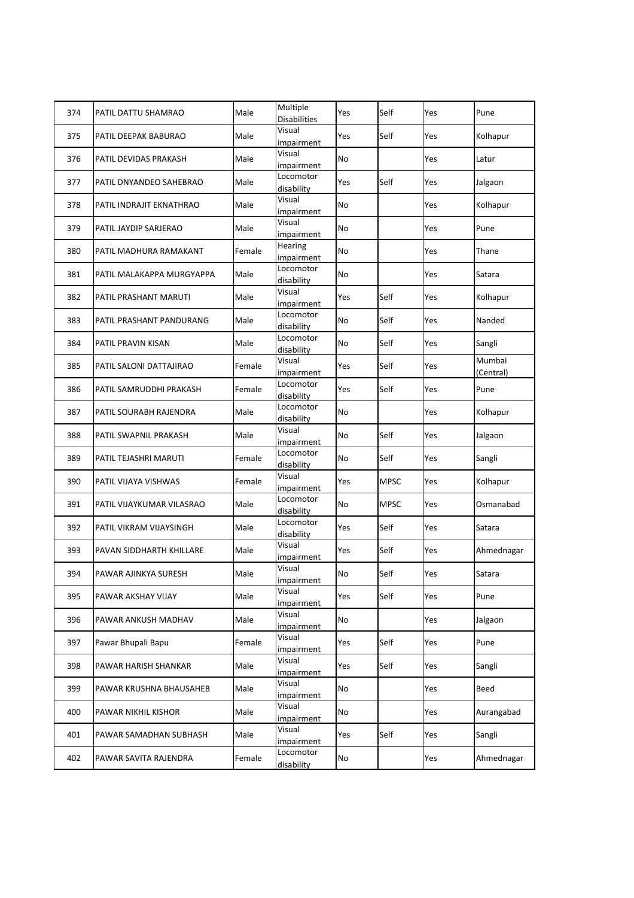| 374 | PATIL DATTU SHAMRAO       | Male   | Multiple<br><b>Disabilities</b> | Yes | Self        | Yes | Pune                |
|-----|---------------------------|--------|---------------------------------|-----|-------------|-----|---------------------|
| 375 | PATIL DEEPAK BABURAO      | Male   | Visual<br>impairment            | Yes | Self        | Yes | Kolhapur            |
| 376 | PATIL DEVIDAS PRAKASH     | Male   | Visual<br>impairment            | No  |             | Yes | Latur               |
| 377 | PATIL DNYANDEO SAHEBRAO   | Male   | Locomotor<br>disability         | Yes | Self        | Yes | Jalgaon             |
| 378 | PATIL INDRAJIT EKNATHRAO  | Male   | Visual<br>impairment            | No  |             | Yes | Kolhapur            |
| 379 | PATIL JAYDIP SARJERAO     | Male   | Visual<br>impairment            | No  |             | Yes | Pune                |
| 380 | PATIL MADHURA RAMAKANT    | Female | Hearing<br>impairment           | No  |             | Yes | Thane               |
| 381 | PATIL MALAKAPPA MURGYAPPA | Male   | Locomotor<br>disability         | No  |             | Yes | Satara              |
| 382 | PATIL PRASHANT MARUTI     | Male   | Visual<br>impairment            | Yes | Self        | Yes | Kolhapur            |
| 383 | PATIL PRASHANT PANDURANG  | Male   | Locomotor<br>disability         | No  | Self        | Yes | Nanded              |
| 384 | PATIL PRAVIN KISAN        | Male   | Locomotor<br>disability         | No  | Self        | Yes | Sangli              |
| 385 | PATIL SALONI DATTAJIRAO   | Female | Visual<br>impairment            | Yes | Self        | Yes | Mumbai<br>(Central) |
| 386 | PATIL SAMRUDDHI PRAKASH   | Female | Locomotor<br>disability         | Yes | Self        | Yes | Pune                |
| 387 | PATIL SOURABH RAJENDRA    | Male   | Locomotor<br>disability         | No  |             | Yes | Kolhapur            |
| 388 | PATIL SWAPNIL PRAKASH     | Male   | Visual<br>impairment            | No  | Self        | Yes | Jalgaon             |
| 389 | PATIL TEJASHRI MARUTI     | Female | Locomotor<br>disability         | No  | Self        | Yes | Sangli              |
| 390 | PATIL VIJAYA VISHWAS      | Female | Visual<br>impairment            | Yes | <b>MPSC</b> | Yes | Kolhapur            |
| 391 | PATIL VIJAYKUMAR VILASRAO | Male   | Locomotor<br>disability         | No  | <b>MPSC</b> | Yes | Osmanabad           |
| 392 | PATIL VIKRAM VIJAYSINGH   | Male   | Locomotor<br>disability         | Yes | Self        | Yes | Satara              |
| 393 | PAVAN SIDDHARTH KHILLARE  | Male   | Visual<br>impairment            | Yes | Self        | Yes | Ahmednagar          |
| 394 | PAWAR AJINKYA SURESH      | Male   | Visual<br>impairment            | No  | Self        | Yes | Satara              |
| 395 | PAWAR AKSHAY VIJAY        | Male   | Visual<br>impairment            | Yes | Self        | Yes | Pune                |
| 396 | PAWAR ANKUSH MADHAV       | Male   | Visual<br>impairment            | No  |             | Yes | Jalgaon             |
| 397 | Pawar Bhupali Bapu        | Female | Visual<br>impairment            | Yes | Self        | Yes | Pune                |
| 398 | PAWAR HARISH SHANKAR      | Male   | Visual<br>impairment            | Yes | Self        | Yes | Sangli              |
| 399 | PAWAR KRUSHNA BHAUSAHEB   | Male   | Visual<br>impairment            | No  |             | Yes | Beed                |
| 400 | PAWAR NIKHIL KISHOR       | Male   | Visual<br>impairment            | No  |             | Yes | Aurangabad          |
| 401 | PAWAR SAMADHAN SUBHASH    | Male   | Visual<br>impairment            | Yes | Self        | Yes | Sangli              |
| 402 | PAWAR SAVITA RAJENDRA     | Female | Locomotor<br>disability         | No  |             | Yes | Ahmednagar          |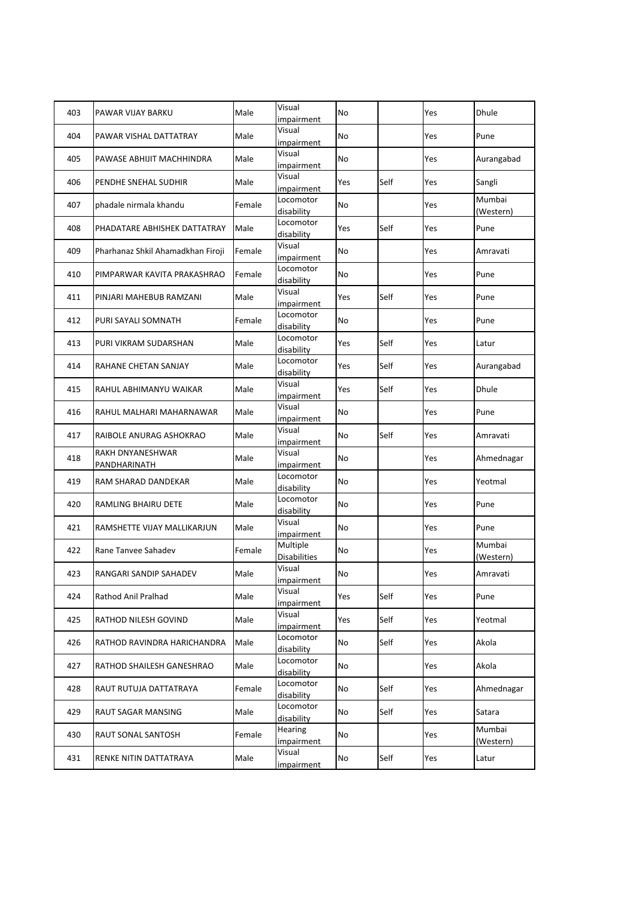| 403 | PAWAR VIJAY BARKU                 | Male   | Visual<br>impairment            | No        |      | Yes | Dhule               |
|-----|-----------------------------------|--------|---------------------------------|-----------|------|-----|---------------------|
| 404 | PAWAR VISHAL DATTATRAY            | Male   | Visual<br>impairment            | No        |      | Yes | Pune                |
| 405 | PAWASE ABHIJIT MACHHINDRA         | Male   | Visual<br>impairment            | No        |      | Yes | Aurangabad          |
| 406 | PENDHE SNEHAL SUDHIR              | Male   | Visual<br>impairment            | Yes       | Self | Yes | Sangli              |
| 407 | phadale nirmala khandu            | Female | Locomotor<br>disability         | <b>No</b> |      | Yes | Mumbai<br>(Western) |
| 408 | PHADATARE ABHISHEK DATTATRAY      | Male   | Locomotor<br>disability         | Yes       | Self | Yes | Pune                |
| 409 | Pharhanaz Shkil Ahamadkhan Firoji | Female | Visual<br>impairment            | No        |      | Yes | Amravati            |
| 410 | PIMPARWAR KAVITA PRAKASHRAO       | Female | Locomotor<br>disability         | <b>No</b> |      | Yes | Pune                |
| 411 | PINJARI MAHEBUB RAMZANI           | Male   | Visual<br>impairment            | Yes       | Self | Yes | Pune                |
| 412 | PURI SAYALI SOMNATH               | Female | Locomotor<br>disability         | No        |      | Yes | Pune                |
| 413 | PURI VIKRAM SUDARSHAN             | Male   | Locomotor<br>disability         | Yes       | Self | Yes | Latur               |
| 414 | RAHANE CHETAN SANJAY              | Male   | Locomotor<br>disability         | Yes       | Self | Yes | Aurangabad          |
| 415 | RAHUL ABHIMANYU WAIKAR            | Male   | Visual<br>impairment            | Yes       | Self | Yes | Dhule               |
| 416 | RAHUL MALHARI MAHARNAWAR          | Male   | Visual<br>impairment            | No        |      | Yes | Pune                |
| 417 | RAIBOLE ANURAG ASHOKRAO           | Male   | Visual<br>impairment            | No        | Self | Yes | Amravati            |
| 418 | RAKH DNYANESHWAR<br>PANDHARINATH  | Male   | Visual<br>impairment            | No        |      | Yes | Ahmednagar          |
| 419 | RAM SHARAD DANDEKAR               | Male   | Locomotor<br>disability         | No        |      | Yes | Yeotmal             |
| 420 | RAMLING BHAIRU DETE               | Male   | Locomotor<br>disability         | <b>No</b> |      | Yes | Pune                |
| 421 | RAMSHETTE VIJAY MALLIKARJUN       | Male   | Visual<br>impairment            | No        |      | Yes | Pune                |
| 422 | Rane Tanvee Sahadev               | Female | Multiple<br><b>Disabilities</b> | No        |      | Yes | Mumbai<br>(Western) |
| 423 | RANGARI SANDIP SAHADEV            | Male   | Visual<br>impairment            | <b>No</b> |      | Yes | Amravati            |
| 424 | Rathod Anil Pralhad               | Male   | Visual<br>impairment            | Yes       | Self | Yes | Pune                |
| 425 | RATHOD NILESH GOVIND              | Male   | Visual<br>impairment            | Yes       | Self | Yes | Yeotmal             |
| 426 | RATHOD RAVINDRA HARICHANDRA       | Male   | Locomotor<br>disability         | No        | Self | Yes | Akola               |
| 427 | RATHOD SHAILESH GANESHRAO         | Male   | Locomotor<br>disability         | No        |      | Yes | Akola               |
| 428 | RAUT RUTUJA DATTATRAYA            | Female | Locomotor<br>disability         | No        | Self | Yes | Ahmednagar          |
| 429 | RAUT SAGAR MANSING                | Male   | Locomotor<br>disability         | No        | Self | Yes | Satara              |
| 430 | RAUT SONAL SANTOSH                | Female | Hearing<br>impairment           | No        |      | Yes | Mumbai<br>(Western) |
| 431 | RENKE NITIN DATTATRAYA            | Male   | Visual<br>impairment            | No        | Self | Yes | Latur               |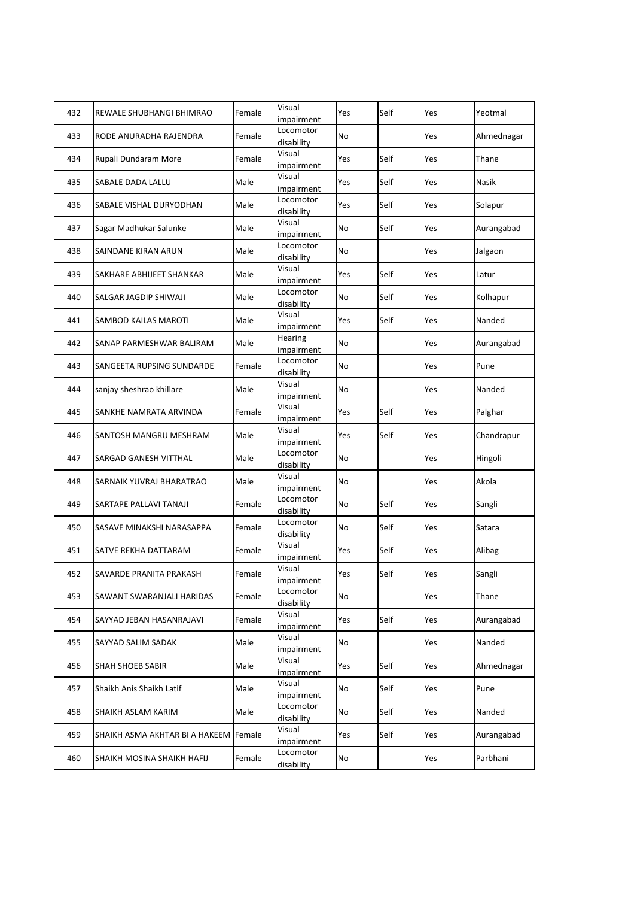| 432 | REWALE SHUBHANGI BHIMRAO       | Female | Visual<br>impairment    | Yes | Self | Yes | Yeotmal    |
|-----|--------------------------------|--------|-------------------------|-----|------|-----|------------|
| 433 | RODE ANURADHA RAJENDRA         | Female | Locomotor<br>disability | No  |      | Yes | Ahmednagar |
| 434 | Rupali Dundaram More           | Female | Visual<br>impairment    | Yes | Self | Yes | Thane      |
| 435 | SABALE DADA LALLU              | Male   | Visual<br>impairment    | Yes | Self | Yes | Nasik      |
| 436 | SABALE VISHAL DURYODHAN        | Male   | Locomotor<br>disability | Yes | Self | Yes | Solapur    |
| 437 | Sagar Madhukar Salunke         | Male   | Visual<br>impairment    | No  | Self | Yes | Aurangabad |
| 438 | SAINDANE KIRAN ARUN            | Male   | Locomotor<br>disability | No  |      | Yes | Jalgaon    |
| 439 | SAKHARE ABHIJEET SHANKAR       | Male   | Visual<br>impairment    | Yes | Self | Yes | Latur      |
| 440 | SALGAR JAGDIP SHIWAJI          | Male   | Locomotor<br>disability | No  | Self | Yes | Kolhapur   |
| 441 | SAMBOD KAILAS MAROTI           | Male   | Visual<br>impairment    | Yes | Self | Yes | Nanded     |
| 442 | SANAP PARMESHWAR BALIRAM       | Male   | Hearing<br>impairment   | No  |      | Yes | Aurangabad |
| 443 | SANGEETA RUPSING SUNDARDE      | Female | Locomotor<br>disability | No  |      | Yes | Pune       |
| 444 | sanjay sheshrao khillare       | Male   | Visual<br>impairment    | No  |      | Yes | Nanded     |
| 445 | SANKHE NAMRATA ARVINDA         | Female | Visual<br>impairment    | Yes | Self | Yes | Palghar    |
| 446 | SANTOSH MANGRU MESHRAM         | Male   | Visual<br>impairment    | Yes | Self | Yes | Chandrapur |
| 447 | SARGAD GANESH VITTHAL          | Male   | Locomotor<br>disability | No  |      | Yes | Hingoli    |
| 448 | SARNAIK YUVRAJ BHARATRAO       | Male   | Visual<br>impairment    | No  |      | Yes | Akola      |
| 449 | SARTAPE PALLAVI TANAJI         | Female | Locomotor<br>disability | No  | Self | Yes | Sangli     |
| 450 | SASAVE MINAKSHI NARASAPPA      | Female | Locomotor<br>disability | No  | Self | Yes | Satara     |
| 451 | SATVE REKHA DATTARAM           | Female | Visual<br>impairment    | Yes | Self | Yes | Alibag     |
| 452 | SAVARDE PRANITA PRAKASH        | Female | Visual<br>impairment    | Yes | Self | Yes | Sangli     |
| 453 | SAWANT SWARANJALI HARIDAS      | Female | Locomotor<br>disability | No  |      | Yes | Thane      |
| 454 | SAYYAD JEBAN HASANRAJAVI       | Female | Visual<br>impairment    | Yes | Self | Yes | Aurangabad |
| 455 | SAYYAD SALIM SADAK             | Male   | Visual<br>impairment    | No  |      | Yes | Nanded     |
| 456 | SHAH SHOEB SABIR               | Male   | Visual<br>impairment    | Yes | Self | Yes | Ahmednagar |
| 457 | Shaikh Anis Shaikh Latif       | Male   | Visual<br>impairment    | No  | Self | Yes | Pune       |
| 458 | SHAIKH ASLAM KARIM             | Male   | Locomotor<br>disability | No  | Self | Yes | Nanded     |
| 459 | SHAIKH ASMA AKHTAR BI A HAKEEM | Female | Visual<br>impairment    | Yes | Self | Yes | Aurangabad |
| 460 | SHAIKH MOSINA SHAIKH HAFIJ     | Female | Locomotor<br>disability | No  |      | Yes | Parbhani   |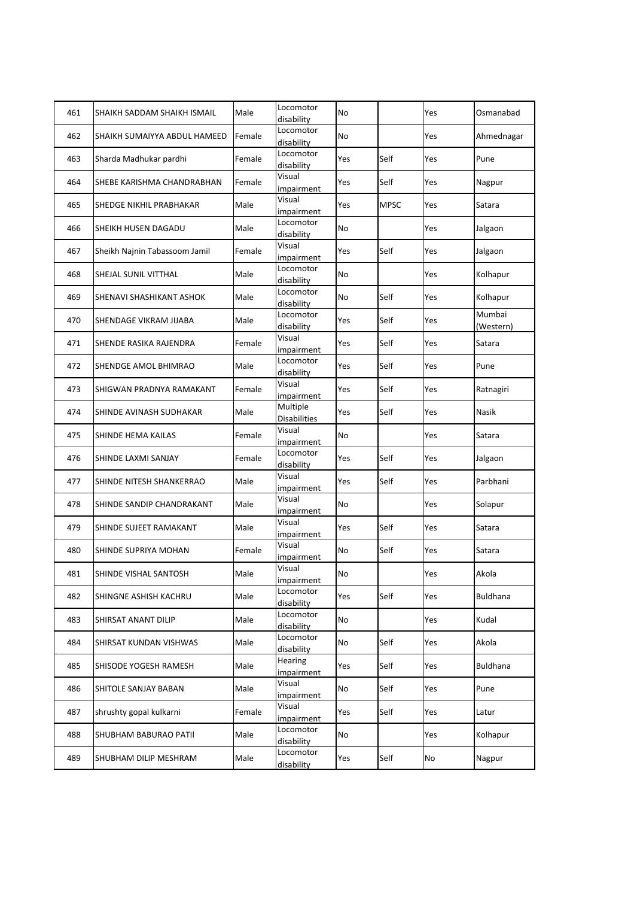| 461 | SHAIKH SADDAM SHAIKH ISMAIL   | Male   | Locomotor<br>disability         | No        |             | Yes | Osmanabad           |
|-----|-------------------------------|--------|---------------------------------|-----------|-------------|-----|---------------------|
| 462 | SHAIKH SUMAIYYA ABDUL HAMEED  | Female | Locomotor<br>disability         | No        |             | Yes | Ahmednagar          |
| 463 | Sharda Madhukar pardhi        | Female | Locomotor<br>disability         | Yes       | Self        | Yes | Pune                |
| 464 | SHEBE KARISHMA CHANDRABHAN    | Female | Visual<br>impairment            | Yes       | Self        | Yes | Nagpur              |
| 465 | SHEDGE NIKHIL PRABHAKAR       | Male   | Visual<br>impairment            | Yes       | <b>MPSC</b> | Yes | Satara              |
| 466 | SHEIKH HUSEN DAGADU           | Male   | Locomotor<br>disability         | No        |             | Yes | Jalgaon             |
| 467 | Sheikh Najnin Tabassoom Jamil | Female | Visual<br>impairment            | Yes       | Self        | Yes | Jalgaon             |
| 468 | SHEJAL SUNIL VITTHAL          | Male   | Locomotor<br>disability         | No        |             | Yes | Kolhapur            |
| 469 | SHENAVI SHASHIKANT ASHOK      | Male   | Locomotor<br>disability         | No        | Self        | Yes | Kolhapur            |
| 470 | SHENDAGE VIKRAM JIJABA        | Male   | Locomotor<br>disability         | Yes       | Self        | Yes | Mumbai<br>(Western) |
| 471 | SHENDE RASIKA RAJENDRA        | Female | Visual<br>impairment            | Yes       | Self        | Yes | Satara              |
| 472 | SHENDGE AMOL BHIMRAO          | Male   | Locomotor<br>disability         | Yes       | Self        | Yes | Pune                |
| 473 | SHIGWAN PRADNYA RAMAKANT      | Female | Visual<br>impairment            | Yes       | Self        | Yes | Ratnagiri           |
| 474 | SHINDE AVINASH SUDHAKAR       | Male   | Multiple<br><b>Disabilities</b> | Yes       | Self        | Yes | Nasik               |
| 475 | SHINDE HEMA KAILAS            | Female | Visual<br>impairment            | No        |             | Yes | Satara              |
| 476 | SHINDE LAXMI SANJAY           | Female | Locomotor<br>disability         | Yes       | Self        | Yes | Jalgaon             |
| 477 | SHINDE NITESH SHANKERRAO      | Male   | Visual<br>impairment            | Yes       | Self        | Yes | Parbhani            |
| 478 | SHINDE SANDIP CHANDRAKANT     | Male   | Visual<br>impairment            | <b>No</b> |             | Yes | Solapur             |
| 479 | SHINDE SUJEET RAMAKANT        | Male   | Visual<br>impairment            | Yes       | Self        | Yes | Satara              |
| 480 | SHINDE SUPRIYA MOHAN          | Female | Visual<br>impairment            | No        | Self        | Yes | Satara              |
| 481 | SHINDE VISHAL SANTOSH         | Male   | Visual<br>impairment            | No        |             | Yes | Akola               |
| 482 | SHINGNE ASHISH KACHRU         | Male   | Locomotor<br>disability         | Yes       | Self        | Yes | Buldhana            |
| 483 | SHIRSAT ANANT DILIP           | Male   | Locomotor<br>disability         | No        |             | Yes | Kudal               |
| 484 | SHIRSAT KUNDAN VISHWAS        | Male   | Locomotor<br>disability         | No        | Self        | Yes | Akola               |
| 485 | SHISODE YOGESH RAMESH         | Male   | Hearing<br>impairment           | Yes       | Self        | Yes | Buldhana            |
| 486 | SHITOLE SANJAY BABAN          | Male   | Visual<br>impairment            | No        | Self        | Yes | Pune                |
| 487 | shrushty gopal kulkarni       | Female | Visual<br>impairment            | Yes       | Self        | Yes | Latur               |
| 488 | SHUBHAM BABURAO PATII         | Male   | Locomotor<br>disability         | No        |             | Yes | Kolhapur            |
| 489 | SHUBHAM DILIP MESHRAM         | Male   | Locomotor<br>disability         | Yes       | Self        | No  | Nagpur              |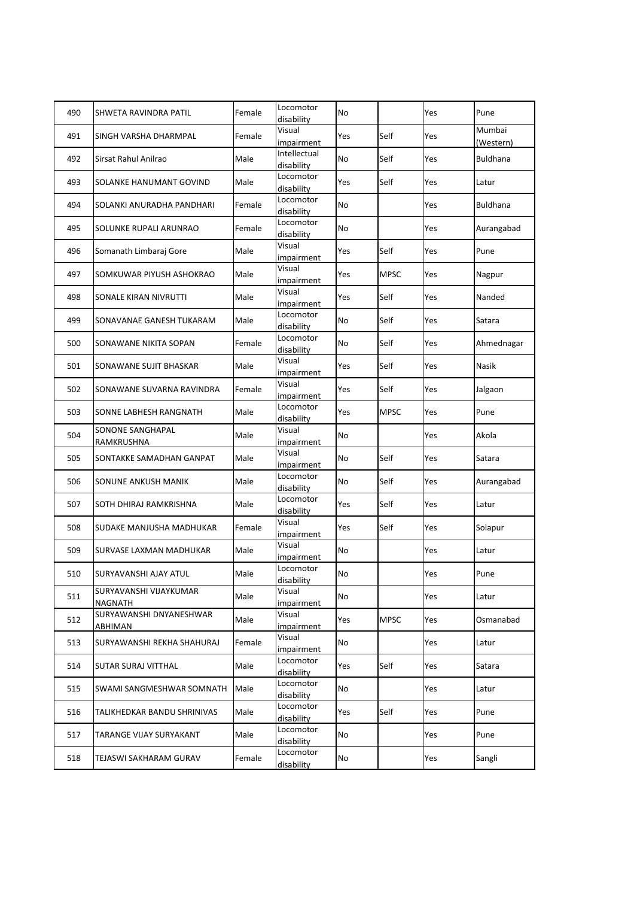| 490 | SHWETA RAVINDRA PATIL              | Female | Locomotor<br>disability    | No        |             | Yes | Pune                |
|-----|------------------------------------|--------|----------------------------|-----------|-------------|-----|---------------------|
| 491 | SINGH VARSHA DHARMPAL              | Female | Visual<br>impairment       | Yes       | Self        | Yes | Mumbai<br>(Western) |
| 492 | Sirsat Rahul Anilrao               | Male   | Intellectual<br>disability | No        | Self        | Yes | <b>Buldhana</b>     |
| 493 | SOLANKE HANUMANT GOVIND            | Male   | Locomotor<br>disability    | Yes       | Self        | Yes | Latur               |
| 494 | SOLANKI ANURADHA PANDHARI          | Female | Locomotor<br>disability    | <b>No</b> |             | Yes | <b>Buldhana</b>     |
| 495 | SOLUNKE RUPALI ARUNRAO             | Female | Locomotor<br>disability    | No        |             | Yes | Aurangabad          |
| 496 | Somanath Limbaraj Gore             | Male   | Visual<br>impairment       | Yes       | Self        | Yes | Pune                |
| 497 | SOMKUWAR PIYUSH ASHOKRAO           | Male   | Visual<br>impairment       | Yes       | <b>MPSC</b> | Yes | Nagpur              |
| 498 | SONALE KIRAN NIVRUTTI              | Male   | Visual<br>impairment       | Yes       | Self        | Yes | Nanded              |
| 499 | SONAVANAE GANESH TUKARAM           | Male   | Locomotor<br>disability    | No        | Self        | Yes | Satara              |
| 500 | SONAWANE NIKITA SOPAN              | Female | Locomotor<br>disability    | No        | Self        | Yes | Ahmednagar          |
| 501 | SONAWANE SUJIT BHASKAR             | Male   | Visual<br>impairment       | Yes       | Self        | Yes | Nasik               |
| 502 | SONAWANE SUVARNA RAVINDRA          | Female | Visual<br>impairment       | Yes       | Self        | Yes | Jalgaon             |
| 503 | SONNE LABHESH RANGNATH             | Male   | Locomotor<br>disability    | Yes       | <b>MPSC</b> | Yes | Pune                |
| 504 | SONONE SANGHAPAL<br>RAMKRUSHNA     | Male   | Visual<br>impairment       | No        |             | Yes | Akola               |
| 505 | SONTAKKE SAMADHAN GANPAT           | Male   | Visual<br>impairment       | No        | Self        | Yes | Satara              |
| 506 | SONUNE ANKUSH MANIK                | Male   | Locomotor<br>disability    | No        | Self        | Yes | Aurangabad          |
| 507 | SOTH DHIRAJ RAMKRISHNA             | Male   | Locomotor<br>disability    | Yes       | Self        | Yes | Latur               |
| 508 | SUDAKE MANJUSHA MADHUKAR           | Female | Visual<br>impairment       | Yes       | Self        | Yes | Solapur             |
| 509 | SURVASE LAXMAN MADHUKAR            | Male   | Visual<br>impairment       | No        |             | Yes | Latur               |
| 510 | SURYAVANSHI AJAY ATUL              | Male   | Locomotor<br>disability    | No        |             | Yes | Pune                |
| 511 | SURYAVANSHI VIJAYKUMAR<br>NAGNATH  | Male   | Visual<br>impairment       | No        |             | Yes | Latur               |
| 512 | SURYAWANSHI DNYANESHWAR<br>ABHIMAN | Male   | Visual<br>impairment       | Yes       | <b>MPSC</b> | Yes | Osmanabad           |
| 513 | SURYAWANSHI REKHA SHAHURAJ         | Female | Visual<br>impairment       | No        |             | Yes | Latur               |
| 514 | SUTAR SURAJ VITTHAL                | Male   | Locomotor<br>disability    | Yes       | Self        | Yes | Satara              |
| 515 | SWAMI SANGMESHWAR SOMNATH          | Male   | Locomotor<br>disability    | No        |             | Yes | Latur               |
| 516 | TALIKHEDKAR BANDU SHRINIVAS        | Male   | Locomotor<br>disability    | Yes       | Self        | Yes | Pune                |
| 517 | TARANGE VIJAY SURYAKANT            | Male   | Locomotor<br>disability    | No        |             | Yes | Pune                |
| 518 | TEJASWI SAKHARAM GURAV             | Female | Locomotor<br>disability    | No        |             | Yes | Sangli              |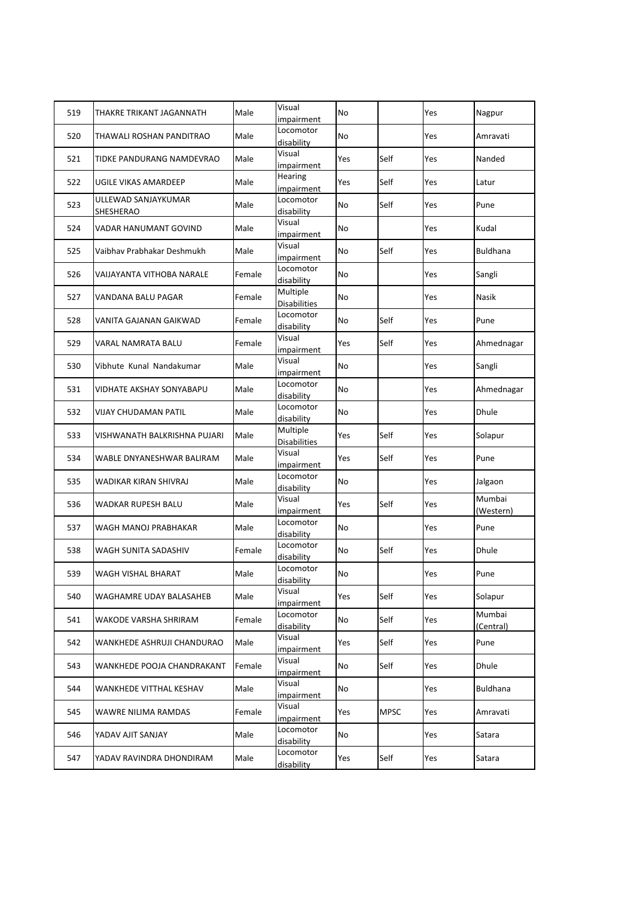| 519 | THAKRE TRIKANT JAGANNATH         | Male   | Visual<br>impairment            | No  |             | Yes | Nagpur              |
|-----|----------------------------------|--------|---------------------------------|-----|-------------|-----|---------------------|
| 520 | THAWALI ROSHAN PANDITRAO         | Male   | Locomotor<br>disability         | No  |             | Yes | Amravati            |
| 521 | TIDKE PANDURANG NAMDEVRAO        | Male   | Visual<br>impairment            | Yes | Self        | Yes | Nanded              |
| 522 | UGILE VIKAS AMARDEEP             | Male   | Hearing<br>impairment           | Yes | Self        | Yes | Latur               |
| 523 | ULLEWAD SANJAYKUMAR<br>SHESHERAO | Male   | Locomotor<br>disability         | No  | Self        | Yes | Pune                |
| 524 | VADAR HANUMANT GOVIND            | Male   | Visual<br>impairment            | No  |             | Yes | Kudal               |
| 525 | Vaibhav Prabhakar Deshmukh       | Male   | Visual<br>impairment            | No  | Self        | Yes | <b>Buldhana</b>     |
| 526 | VAIJAYANTA VITHOBA NARALE        | Female | Locomotor<br>disability         | No  |             | Yes | Sangli              |
| 527 | VANDANA BALU PAGAR               | Female | Multiple<br><b>Disabilities</b> | No  |             | Yes | Nasik               |
| 528 | VANITA GAJANAN GAIKWAD           | Female | Locomotor<br>disability         | No  | Self        | Yes | Pune                |
| 529 | VARAL NAMRATA BALU               | Female | Visual<br>impairment            | Yes | Self        | Yes | Ahmednagar          |
| 530 | Vibhute Kunal Nandakumar         | Male   | Visual<br>impairment            | No  |             | Yes | Sangli              |
| 531 | VIDHATE AKSHAY SONYABAPU         | Male   | Locomotor<br>disability         | No  |             | Yes | Ahmednagar          |
| 532 | VIJAY CHUDAMAN PATIL             | Male   | Locomotor<br>disability         | No  |             | Yes | Dhule               |
| 533 | VISHWANATH BALKRISHNA PUJARI     | Male   | Multiple<br><b>Disabilities</b> | Yes | Self        | Yes | Solapur             |
| 534 | WABLE DNYANESHWAR BALIRAM        | Male   | Visual<br>impairment            | Yes | Self        | Yes | Pune                |
| 535 | WADIKAR KIRAN SHIVRAJ            | Male   | Locomotor<br>disability         | No  |             | Yes | Jalgaon             |
| 536 | WADKAR RUPESH BALU               | Male   | Visual<br>impairment            | Yes | Self        | Yes | Mumbai<br>(Western) |
| 537 | WAGH MANOJ PRABHAKAR             | Male   | Locomotor<br>disability         | No  |             | Yes | Pune                |
| 538 | WAGH SUNITA SADASHIV             | Female | Locomotor<br>disability         | No  | Self        | Yes | Dhule               |
| 539 | WAGH VISHAL BHARAT               | Male   | Locomotor<br>disability         | No  |             | Yes | Pune                |
| 540 | WAGHAMRE UDAY BALASAHEB          | Male   | Visual<br>impairment            | Yes | Self        | Yes | Solapur             |
| 541 | WAKODE VARSHA SHRIRAM            | Female | Locomotor<br>disability         | No  | Self        | Yes | Mumbai<br>(Central) |
| 542 | WANKHEDE ASHRUJI CHANDURAO       | Male   | Visual<br>impairment            | Yes | Self        | Yes | Pune                |
| 543 | WANKHEDE POOJA CHANDRAKANT       | Female | Visual<br>impairment            | No  | Self        | Yes | Dhule               |
| 544 | WANKHEDE VITTHAL KESHAV          | Male   | Visual<br>impairment            | No  |             | Yes | Buldhana            |
| 545 | WAWRE NILIMA RAMDAS              | Female | Visual<br>impairment            | Yes | <b>MPSC</b> | Yes | Amravati            |
| 546 | YADAV AJIT SANJAY                | Male   | Locomotor<br>disability         | No  |             | Yes | Satara              |
| 547 | YADAV RAVINDRA DHONDIRAM         | Male   | Locomotor<br>disability         | Yes | Self        | Yes | Satara              |